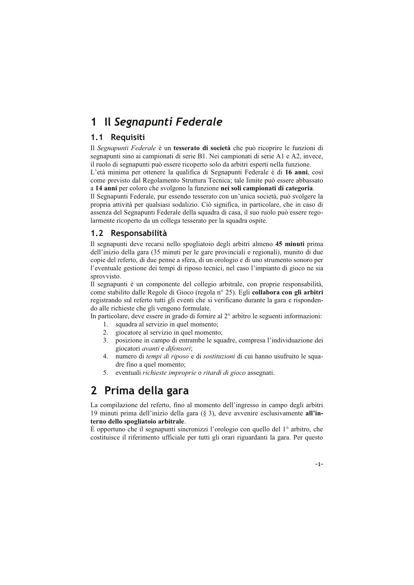### Il Segnapunti Federale  $\mathbf 1$

## 1.1 Requisiti

Il Segnapunti Federale è un tesserato di società che può ricoprire le funzioni di segnapunti sino ai campionati di serie B1. Nei campionati di serie A1 e A2, invece, il ruolo di segnapunti può essere ricoperto solo da arbitri esperti nella funzione.

L'età minima per ottenere la qualifica di Segnapunti Federale è di 16 anni, così come previsto dal Regolamento Struttura Tecnica; tale limite può essere abbassato a 14 anni per coloro che svolgono la funzione nei soli campionati di categoria.

Il Segnapunti Federale, pur essendo tesserato con un'unica società, può svolgere la propria attività per qualsiasi sodalizio. Ciò significa, in particolare, che in caso di assenza del Segnapunti Federale della squadra di casa, il suo ruolo può essere regolarmente ricoperto da un collega tesserato per la squadra ospite.

## 1.2 Responsabilità

Il segnapunti deve recarsi nello spogliatoio degli arbitri almeno 45 minuti prima dell'inizio della gara (35 minuti per le gare provinciali e regionali), munito di due copie del referto, di due penne a sfera, di un orologio e di uno strumento sonoro per l'eventuale gestione dei tempi di riposo tecnici, nel caso l'impianto di gioco ne sia sprovvisto.

Il segnapunti è un componente del collegio arbitrale, con proprie responsabilità, come stabilito dalle Regole di Gioco (regola nº 25). Egli collabora con gli arbitri registrando sul referto tutti gli eventi che si verificano durante la gara e rispondendo alle richieste che gli vengono formulate.

In particolare, deve essere in grado di fornire al 2° arbitro le seguenti informazioni:

- squadra al servizio in quel momento;  $1<sup>1</sup>$
- $2^{1}$ giocatore al servizio in quel momento;
- posizione in campo di entrambe le squadre, compresa l'individuazione dei  $\mathcal{R}$ giocatori *avanti* e difensori;
- 4. numero di *tempi di riposo* e di *sostituzioni* di cui hanno usufruito le squadre fino a quel momento;
- $5<sub>1</sub>$ eventuali richieste improprie o ritardi di gioco assegnati.

# 2 Prima della gara

La compilazione del referto, fino al momento dell'ingresso in campo degli arbitri 19 minuti prima dell'inizio della gara (§ 3), deve avvenire esclusivamente all'interno dello spogliatoio arbitrale.

È opportuno che il segnapunti sincronizzi l'orologio con quello del 1 $\degree$  arbitro, che costituisce il riferimento ufficiale per tutti gli orari riguardanti la gara. Per questo

 $-1-$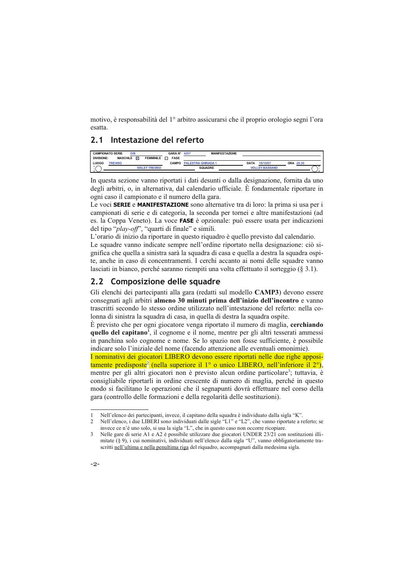motivo, è responsabilità del 1<sup>°</sup> arbitro assicurarsi che il proprio orologio segni l'ora esatta

## 2.1 Intestazione del referto

|                   | <b>CAMPIONATO SERIE</b><br>D/B |   |                       | <b>GARA N°</b> | 4257                      | <b>MANIFESTAZIONE</b> |             |                       |           |  |
|-------------------|--------------------------------|---|-----------------------|----------------|---------------------------|-----------------------|-------------|-----------------------|-----------|--|
| <b>DIVISIONE:</b> | <b>MASCHILE</b>                | ⊠ | <b>FEMMINILE</b>      | <b>FASE</b>    |                           |                       |             |                       |           |  |
| LUOGC             | <b>TREVISO</b>                 |   |                       | <b>CAMPO</b>   | <b>PALESTRA GHIRADA 1</b> |                       | <b>DATA</b> | 19/10/07              | ORA 20:30 |  |
| $\sim$            |                                |   | <b>SISLEY TREVISO</b> |                |                           | <b>SQUADRE</b>        |             | <b>VOLLEY BASSANO</b> |           |  |
|                   |                                |   |                       |                |                           |                       |             |                       |           |  |

In questa sezione vanno riportati i dati desunti o dalla designazione, fornita da uno degli arbitri, o, in alternativa, dal calendario ufficiale. È fondamentale riportare in ogni caso il campionato e il numero della gara.

Le voci **SERIE** e **MANIFESTAZIONE** sono alternative tra di loro: la prima si usa per i campionati di serie e di categoria, la seconda per tornei e altre manifestazioni (ad es. la Coppa Veneto). La voce FASE è opzionale: può essere usata per indicazioni del tipo "play-off", "quarti di finale" e simili.

L'orario di inizio da riportare in questo riquadro è quello previsto dal calendario.

Le squadre vanno indicate sempre nell'ordine riportato nella designazione: ciò significa che quella a sinistra sarà la squadra di casa e quella a destra la squadra ospite, anche in caso di concentramenti. I cerchi accanto ai nomi delle squadre vanno lasciati in bianco, perché saranno riempiti una volta effettuato il sorteggio (§ 3.1).

## 2.2 Composizione delle squadre

Gli elenchi dei partecipanti alla gara (redatti sul modello CAMP3) devono essere consegnati agli arbitri almeno 30 minuti prima dell'inizio dell'incontro e vanno trascritti secondo lo stesso ordine utilizzato nell'intestazione del referto: nella colonna di sinistra la squadra di casa, in quella di destra la squadra ospite.

È previsto che per ogni giocatore venga riportato il numero di maglia, cerchiando quello del capitano<sup>1</sup>, il cognome e il nome, mentre per gli altri tesserati ammessi in panchina solo cognome e nome. Se lo spazio non fosse sufficiente, è possibile indicare solo l'iniziale del nome (facendo attenzione alle eventuali omonimie).

I nominativi dei giocatori LIBERO devono essere riportati nelle due righe appositamente predisposte<sup>2</sup> (nella superiore il 1<sup>°</sup> o unico LIBERO, nell'inferiore il 2<sup>°</sup>), mentre per gli altri giocatori non è previsto alcun ordine particolare<sup>3</sup>; tuttavia, è consigliabile riportarli in ordine crescente di numero di maglia, perché in questo modo si facilitano le operazioni che il segnapunti dovrà effettuare nel corso della gara (controllo delle formazioni e della regolarità delle sostituzioni).

 $\mathbf{z}$ Nelle gare di serie A1 e A2 è possibile utilizzare due giocatori UNDER 23/21 con sostituzioni illimitate (§ 9), i cui nominativi, individuati nell'elenco dalla sigla "U", vanno obbligatoriamente trascritti nell'ultima e nella penultima riga del riquadro, accompagnati dalla medesima sigla.



Nell'elenco dei partecipanti, invece, il capitano della squadra è individuato dalla sigla "K".

Nell'elenco, i due LIBERI sono individuati dalle sigle "L1" e "L2", che vanno riportate a referto; se  $\mathcal{L}$ invece ce n'è uno solo, si usa la sigla "L", che in questo caso non occorre ricopiare.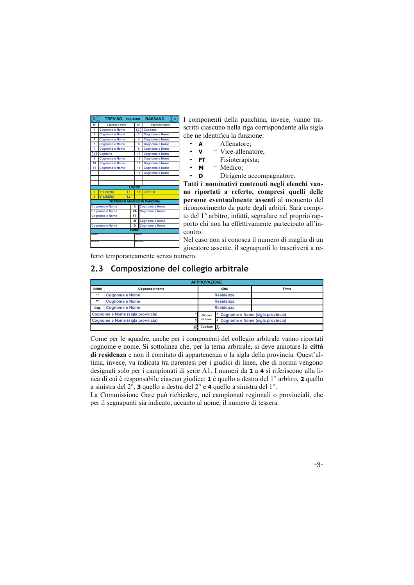| в                 | TREVISO SQUADRE<br>ö                 |               |           |                | -( A<br><b>BASSANO</b> |
|-------------------|--------------------------------------|---------------|-----------|----------------|------------------------|
| N <sup>+</sup>    | Cognome e Nome                       |               |           | N <sup>+</sup> | Cognome e Nome         |
| 1                 | <b>Cognome e Nome</b>                |               |           | (2)            | Capitano               |
| $\overline{a}$    | <b>Coanome e Nome</b>                |               |           | 3              | <b>Coanome e Nome</b>  |
| 4                 | <b>Cognome e Nome</b>                |               |           | $\overline{a}$ | <b>Cognome e Nome</b>  |
| 5                 | <b>Coanome e Nome</b>                |               |           | 6              | <b>Coanome e Nome</b>  |
| 7                 | <b>Cognome e Nome</b>                |               |           | 8              | <b>Cognome e Nome</b>  |
| 8                 | Capitano                             |               |           | 10             | <b>Cognome e Nome</b>  |
| 9                 | <b>Cognome e Nome</b>                |               |           | 12             | <b>Cognome e Nome</b>  |
| 10                | <b>Cognome e Nome</b>                |               |           | 13             | <b>Cognome e Nome</b>  |
| 11                | <b>Cognome e Nome</b>                |               |           | 14             | <b>Cognome e Nome</b>  |
|                   |                                      |               |           | 15             | <b>Cognome e Nome</b>  |
|                   |                                      |               |           |                |                        |
|                   |                                      |               |           |                |                        |
|                   |                                      | <b>LIBERO</b> |           |                |                        |
| 6                 | 1° LIBERO<br>L1                      |               |           | 11             | LIBERO                 |
| $\overline{3}$    | 2° LIBERO<br>L <sub>2</sub>          |               |           |                |                        |
|                   | <b>TESSERATI AMMESSI IN PANCHINA</b> |               |           |                |                        |
|                   | <b>Cognome e Nome</b>                |               | A         |                | <b>Cognome e Nome</b>  |
|                   | <b>Cognome e Nome</b>                |               | <b>VA</b> |                | <b>Cognome e Nome</b>  |
|                   | <b>Coanome e Nome</b>                |               | <b>FT</b> |                |                        |
|                   |                                      |               | M         |                | <b>Cognome e Nome</b>  |
|                   | <b>Cognome e Nome</b>                |               | D         |                | <b>Cognome e Nome</b>  |
|                   |                                      | <b>FIRME</b>  |           |                |                        |
| Capitano          |                                      |               |           | Capitano       |                        |
| <b>Allenatore</b> |                                      |               |           | Allenatore     |                        |
|                   |                                      |               |           |                |                        |

I componenti della panchina, invece, vanno trascritti ciascuno nella riga corrispondente alla sigla che ne identifica la funzione:

- $=$  Allenatore:  $\cdot$   $\Delta$
- $=$  Vice-allenatore;  $\mathbf{V}$
- $=$  Fisioterapista;  $FT$
- $=$  Medico: M
- $=$  Dirigente accompagnatore. D

Tutti i nominativi contenuti negli elenchi vanno riportati a referto, compresi quelli delle persone eventualmente assenti al momento del riconoscimento da parte degli arbitri. Sarà compito del 1º arbitro, infatti, segnalare nel proprio rapporto chi non ha effettivamente partecipato all'incontro.

Nel caso non si conosca il numero di maglia di un giocatore assente, il segnapunti lo trascriverà a re-

ferto temporaneamente senza numero.

## 2.3 Composizione del collegio arbitrale

|             |                                  | <b>APPROVAZIONE</b> |                                               |       |
|-------------|----------------------------------|---------------------|-----------------------------------------------|-------|
| Arbitri     | <b>Coanome e Nome</b>            |                     | Città                                         | Firma |
| $1^{\circ}$ | <b>Cognome e Nome</b>            |                     | <b>Residenza</b>                              |       |
| $2^{\circ}$ | <b>Cognome e Nome</b>            |                     | <b>Residenza</b>                              |       |
| Seg.        | <b>Cognome e Nome</b>            |                     | <b>Residenza</b>                              |       |
|             | Cognome e Nome (sigla provincia) | Giudici             | <sup>2</sup> Cognome e Nome (sigla provincia) |       |
|             | Cognome e Nome (sigla provincia) | di linea            | 4 Cognome e Nome (sigla provincia)            |       |
|             |                                  | Capitani            | <b>I</b> <sub>B</sub>                         |       |

Come per le squadre, anche per i componenti del collegio arbitrale vanno riportati cognome e nome. Si sottolinea che, per la terna arbitrale, si deve annotare la città di residenza e non il comitato di appartenenza o la sigla della provincia. Quest'ultima, invece, va indicata tra parentesi per i giudici di linea, che di norma vengono designati solo per i campionati di serie A1. I numeri da 1 a 4 si riferiscono alla linea di cui è responsabile ciascun giudice: 1 è quello a destra del 1<sup>°</sup> arbitro, 2 quello a sinistra del 2<sup>°</sup>, 3 quello a destra del 2<sup>°</sup> e 4 quello a sinistra del 1<sup>°</sup>.

La Commissione Gare può richiedere, nei campionati regionali o provinciali, che per il segnapunti sia indicato, accanto al nome, il numero di tessera.

 $-3-$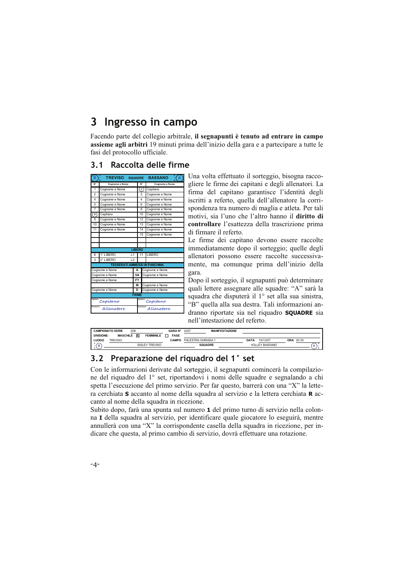### Ingresso in campo 3

Facendo parte del collegio arbitrale, il segnapunti è tenuto ad entrare in campo assieme agli arbitri 19 minuti prima dell'inizio della gara e a partecipare a tutte le fasi del protocollo ufficiale.

## 3.1 Raccolta delle firme

| N°<br>N°<br><b>Coanome e Nome</b><br><b>Coanome e Nome</b><br>$^{2}$<br>1<br>Cognome e Nome<br>Capitano<br>$\mathfrak{p}$<br>3<br>Cognome e Nome<br>Cognome e Nome<br>4<br>4<br>Cognome e Nome<br>Cognome e Nome<br>5<br>Cognome e Nome<br>6<br>Cognome e Nome<br>$\overline{7}$<br>8<br>Cognome e Nome<br>Cognome e Nome |  |
|---------------------------------------------------------------------------------------------------------------------------------------------------------------------------------------------------------------------------------------------------------------------------------------------------------------------------|--|
|                                                                                                                                                                                                                                                                                                                           |  |
|                                                                                                                                                                                                                                                                                                                           |  |
|                                                                                                                                                                                                                                                                                                                           |  |
|                                                                                                                                                                                                                                                                                                                           |  |
|                                                                                                                                                                                                                                                                                                                           |  |
|                                                                                                                                                                                                                                                                                                                           |  |
| 8<br>10<br>Capitano<br>Cognome e Nome                                                                                                                                                                                                                                                                                     |  |
| Cognome e Nome<br>12<br>9<br>Cognome e Nome                                                                                                                                                                                                                                                                               |  |
| 10<br>13<br>Cognome e Nome<br>Cognome e Nome                                                                                                                                                                                                                                                                              |  |
| 14<br>11<br>Cognome e Nome<br>Cognome e Nome                                                                                                                                                                                                                                                                              |  |
| 15<br>Cognome e Nome                                                                                                                                                                                                                                                                                                      |  |
|                                                                                                                                                                                                                                                                                                                           |  |
|                                                                                                                                                                                                                                                                                                                           |  |
| LIBERO                                                                                                                                                                                                                                                                                                                    |  |
| 1° LIBERO<br>LIBERO<br>6<br>11<br>L1                                                                                                                                                                                                                                                                                      |  |
| 3<br>2° LIBERO<br>$\overline{2}$                                                                                                                                                                                                                                                                                          |  |
| <b>TESSERATI AMMESSI IN PANCHINA</b>                                                                                                                                                                                                                                                                                      |  |
| Cognome e Nome<br>A<br>Cognome e Nome                                                                                                                                                                                                                                                                                     |  |
| VA<br>Cognome e Nome<br>Cognome e Nome                                                                                                                                                                                                                                                                                    |  |
| <b>FT</b><br>Cognome e Nome                                                                                                                                                                                                                                                                                               |  |
| Cognome e Nome<br>м                                                                                                                                                                                                                                                                                                       |  |
| Cognome e Nome<br>Cognome e Nome<br>D                                                                                                                                                                                                                                                                                     |  |
| <b>FIRME</b>                                                                                                                                                                                                                                                                                                              |  |
| Capitano<br>Capitano<br>Capitano<br>° Allenatore<br><sup>Capitano</sup> Capitano<br><sup>Allenatore</sup> Allenatore                                                                                                                                                                                                      |  |
| Allenatore                                                                                                                                                                                                                                                                                                                |  |

Una volta effettuato il sorteggio, bisogna raccogliere le firme dei capitani e degli allenatori. La firma del capitano garantisce l'identità degli iscritti a referto, quella dell'allenatore la corrispondenza tra numero di maglia e atleta. Per tali motivi, sia l'uno che l'altro hanno il diritto di controllare l'esattezza della trascrizione prima di firmare il referto.

Le firme dei capitano devono essere raccolte immediatamente dopo il sorteggio; quelle degli allenatori possono essere raccolte successivamente, ma comunque prima dell'inizio della gara.

Dopo il sorteggio, il segnapunti può determinare quali lettere assegnare alle squadre: "A" sarà la squadra che disputerà il 1º set alla sua sinistra, "B" quella alla sua destra. Tali informazioni andranno riportate sia nel riquadro **SQUADRE** sia nell'intestazione del referto.

|        |                   | <b>CAMPIONATO SERIE</b><br>D/B |   |                  | <b>GARAN°</b> | 4257                | <b>MANIFESTAZIONE</b> |      |                       |                  |  |
|--------|-------------------|--------------------------------|---|------------------|---------------|---------------------|-----------------------|------|-----------------------|------------------|--|
|        | <b>DIVISIONE:</b> | <b>MASCHILE</b>                | ⊠ | <b>FEMMINILE</b> | <b>FASE</b>   |                     |                       |      |                       |                  |  |
|        | <b>LUOGO</b>      | <b>TREVISO</b>                 |   |                  | CAMPO         | PAI ESTRA GHIRADA 1 |                       | DATA | 19/10/07              | <b>ORA 20:30</b> |  |
| $\sim$ | D<br>-            |                                |   | SISLEY TREVISO   |               | <b>SQUADRE</b>      |                       |      | <b>VOLLEY BASSANO</b> |                  |  |
|        |                   |                                |   |                  |               |                     |                       |      |                       |                  |  |

## 3.2 Preparazione del riquadro del 1° set

Con le informazioni derivate dal sorteggio, il segnapunti comincerà la compilazione del riquadro del 1º set, riportandovi i nomi delle squadre e segnalando a chi spetta l'esecuzione del primo servizio. Per far questo, barrerà con una "X" la lettera cerchiata S accanto al nome della squadra al servizio e la lettera cerchiata R accanto al nome della squadra in ricezione.

Subito dopo, farà una spunta sul numero 1 del primo turno di servizio nella colonna I della squadra al servizio, per identificare quale giocatore lo eseguirà, mentre annullerà con una "X" la corrispondente casella della squadra in ricezione, per indicare che questa, al primo cambio di servizio, dovrà effettuare una rotazione.

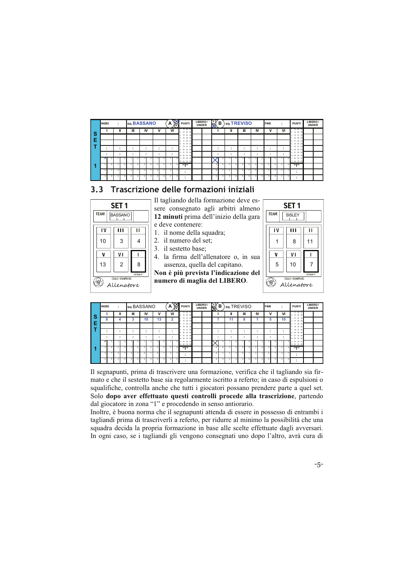|   | <b>INIZIO</b> |   | ٠<br>÷                  |   | so.BASSANO |    |                     |                         | A                       | $\infty$<br>扃 | <b>PUNTI</b>                        | LIBERO/<br><b>UNDER</b> | ľsγ<br>₩ | в |   | so.TREVISO |              |   |                         |         | <b>FINE</b>             |   | ٠<br>$\cdot$            |                           | <b>PUNTI</b>                         | LIBERO/<br><b>UNDER</b> |  |
|---|---------------|---|-------------------------|---|------------|----|---------------------|-------------------------|-------------------------|---------------|-------------------------------------|-------------------------|----------|---|---|------------|--------------|---|-------------------------|---------|-------------------------|---|-------------------------|---------------------------|--------------------------------------|-------------------------|--|
| S |               |   |                         | Ш |            | Ш  | IV                  | ν                       |                         | VI            | 13 25 37<br>2 14 26 38              |                         |          |   | ш |            | Ш            |   | IV                      |         |                         | ν | VI                      |                           | 13 25 37<br>14 26 38<br>$\mathbf{z}$ |                         |  |
|   |               |   |                         |   |            |    |                     |                         |                         |               | 15 27 39<br>16 28                   |                         |          |   |   |            |              |   |                         |         |                         |   |                         |                           | 15 27 38<br>16 28 40                 |                         |  |
| E |               |   |                         |   |            |    |                     |                         |                         |               | 17 29 41<br>к.<br>18 30<br>$\omega$ |                         |          |   |   |            |              |   |                         |         |                         |   |                         |                           | 17 29 41<br>18 30 42                 |                         |  |
|   | ٠<br>٠        |   |                         |   |            | ٠. | $\blacksquare$<br>٠ | ٠<br>$\cdot$            |                         |               | 19 31 43<br>20 32<br>44             |                         |          |   | ۰ |            |              |   | ٠<br>٠                  |         | ٠<br>٠                  |   |                         | $\blacksquare$<br>$\cdot$ | 19 31 43<br>20 32 44                 |                         |  |
|   | ٠             |   |                         |   |            | ٠  | $\blacksquare$      | ٠<br>$\cdot$            |                         |               | 21 33 45<br>۰<br>10 22 34<br>48     |                         |          |   |   |            | . .          |   | ٠                       |         | ٠<br>٠                  |   |                         | $\cdot$                   | 21 33 45<br>10 22 34 46              |                         |  |
|   |               |   |                         |   |            |    |                     |                         |                         |               | 23 35 47<br>H.<br>12 24 36 48       |                         |          |   |   |            |              |   |                         |         |                         |   |                         |                           | 23 35 47<br>12 24 36 48              |                         |  |
|   |               |   | 2                       |   |            |    |                     | n                       | <b>B</b>                |               | 11.7.11                             |                         | z        |   |   |            |              |   | ×                       |         | ×                       | я |                         |                           | rrn                                  |                         |  |
|   |               |   | $\overline{\mathbf{z}}$ |   |            |    |                     | $\overline{\mathbf{a}}$ | $\mathbf{\overline{a}}$ |               | ٠                                   |                         | ×        |   |   | ٠          | $\mathbf{z}$ |   | $\mathbf{\overline{a}}$ |         | $\overline{\mathbf{a}}$ | ٠ | $\overline{\mathbf{3}}$ |                           | $\bullet$<br>۰.                      |                         |  |
|   |               | × |                         |   |            |    |                     |                         |                         |               | ٠                                   |                         |          |   |   | ×          |              | R |                         | $\circ$ |                         | R |                         |                           | ٠                                    |                         |  |

## 3.3 Trascrizione delle formazioni iniziali

| SET <sub>1</sub><br><b>TEAM</b><br>BASSANO<br>ı٧<br>ш<br>11<br>3<br>10<br>4<br>v١<br>$\mathfrak{p}$<br>13<br>8<br><b>SERVICE</b><br>COACH SIGNATURE | Il tagliando della formazione deve es-<br>sere consegnato agli arbitri almeno<br>12 minuti prima dell'inizio della gara<br>e deve contenere:<br>1. il nome della squadra;<br>2. il numero del set;<br>3. il sestetto base;<br>4. la firma dell'allenatore o, in sua<br>assenza, quella del capitano.<br>Non è più prevista l'indicazione del<br>numero di maglia del LIBERO. | SET <sub>1</sub><br><b>TEAM</b><br><b>SISLEY</b><br>п<br>ш<br>ı٧<br>11<br>8<br>v١<br>ν<br>$\overline{7}$<br>5<br>10<br><b>SERVK</b><br><b>COACH SIGNATURE</b> |
|-----------------------------------------------------------------------------------------------------------------------------------------------------|------------------------------------------------------------------------------------------------------------------------------------------------------------------------------------------------------------------------------------------------------------------------------------------------------------------------------------------------------------------------------|---------------------------------------------------------------------------------------------------------------------------------------------------------------|
|-----------------------------------------------------------------------------------------------------------------------------------------------------|------------------------------------------------------------------------------------------------------------------------------------------------------------------------------------------------------------------------------------------------------------------------------------------------------------------------------------------------------------------------------|---------------------------------------------------------------------------------------------------------------------------------------------------------------|

|   | <b>INIZIO</b>      |                         |   |   |        | so BASSANO |  |    | А              | ↷<br>(R) | <b>PUNTI</b>                 | LIBERO/<br><b>UNDER</b> | $\mathbb{X}$ | в |                         |        | so.TREVISO |                      |          | <b>FINE</b>          | $\overline{\phantom{a}}$ | <b>PUNTI</b>                 | LIBERO/<br><b>UNDER</b> |
|---|--------------------|-------------------------|---|---|--------|------------|--|----|----------------|----------|------------------------------|-------------------------|--------------|---|-------------------------|--------|------------|----------------------|----------|----------------------|--------------------------|------------------------------|-------------------------|
| s |                    |                         | Ш |   | Ш      | IV         |  | ٧  |                | VI       | 13 25 37<br>14 26 38<br>2    |                         |              |   |                         | ш      | Ш          | IV                   |          | ν                    | VI                       | 13 25 37<br>2 14 26 38       |                         |
|   | ິ<br>ŏ             | 4                       |   |   | ີ<br>۰ | 10         |  | 13 | $\overline{2}$ |          | 15 27 39<br>16 28 40         |                         |              |   |                         | 11     | 8          |                      |          | 5                    | 10                       | 15 27 39<br>16 28 40<br>4.   |                         |
| Е |                    |                         |   |   |        |            |  |    |                |          | 17 29 41<br>×<br>18 30 42    |                         |              |   |                         |        |            |                      |          |                      |                          | 17 29 41<br>×<br>6 18 30 42  |                         |
|   |                    |                         |   |   | ۰      |            |  | ٠  |                |          | 19 31 43<br>20 32 44         |                         |              |   |                         | ٠      | ٠<br>٠     | $\bullet$<br>$\cdot$ |          | $\bullet$<br>$\cdot$ | ٠.                       | 19 31 43<br>20 32 44<br>×    |                         |
|   |                    |                         |   |   |        |            |  | ٠  |                |          | 21 33 45<br>۰<br>10 22 34 46 |                         |              |   |                         | ٠<br>٠ |            | $\bullet$            |          | $\bullet$<br>$\cdot$ |                          | 21 33 45<br>۰<br>10 22 34 46 |                         |
|   | ィ                  |                         |   |   | л      |            |  |    |                |          | 23 35 47<br>12 24 36 48      |                         |              |   |                         |        |            |                      | s        |                      |                          | 23 35 47<br>12 24 36 48      |                         |
|   | ×                  | $\sim$                  |   | z | А      | ٠          |  |    | $\overline{a}$ |          | rrn                          |                         | 2            |   | $\overline{a}$          |        | ×          | $\overline{a}$       | £.       |                      | $\sim$                   | $n + n$                      |                         |
|   | $\mathbf{\hat{z}}$ | $\overline{\mathbf{a}}$ |   |   |        |            |  |    |                |          | $\bullet$                    |                         | я            |   | $\mathbf{\overline{a}}$ |        |            |                      |          |                      |                          | ٠<br>٠.                      |                         |
|   |                    |                         |   |   | R      |            |  |    |                |          | $\bullet$<br>۰.              |                         |              |   |                         |        |            |                      | <b>R</b> |                      |                          | ٠                            |                         |

Il segnapunti, prima di trascrivere una formazione, verifica che il tagliando sia firmato e che il sestetto base sia regolarmente iscritto a referto; in caso di espulsioni o squalifiche, controlla anche che tutti i giocatori possano prendere parte a quel set. Solo dopo aver effettuato questi controlli procede alla trascrizione, partendo dal giocatore in zona "1" e procedendo in senso antiorario.

Inoltre, è buona norma che il segnapunti attenda di essere in possesso di entrambi i tagliandi prima di trascriverli a referto, per ridurre al minimo la possibilità che una squadra decida la propria formazione in base alle scelte effettuate dagli avversari. In ogni caso, se i tagliandi gli vengono consegnati uno dopo l'altro, avrà cura di

 $-5-$ 

 $\overline{\mathsf{H}}$  $11$ ī  $\overline{7}$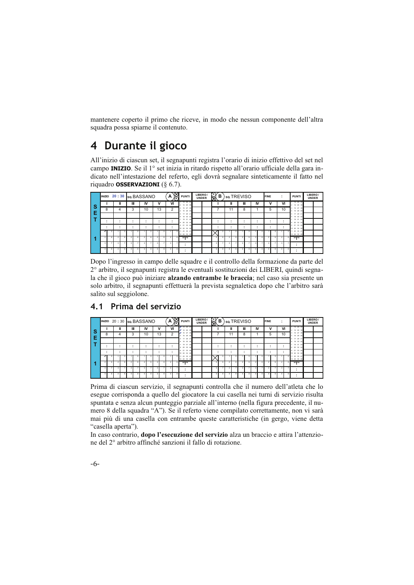mantenere coperto il primo che riceve, in modo che nessun componente dell'altra squadra possa spiarne il contenuto.

### Durante il gioco  $\boldsymbol{4}$

All'inizio di ciascun set, il segnapunti registra l'orario di inizio effettivo del set nel campo INIZIO. Se il 1º set inizia in ritardo rispetto all'orario ufficiale della gara indicato nell'intestazione del referto, egli dovrà segnalare sinteticamente il fatto nel riquadro OSSERVAZIONI ( $\S$  6.7).

|     |   |   |              |   | INIZIO 20 : 30 sq. BASSANO |    |    | A  | 阁 | <b>PUNTI</b>                  | LIBERO/<br><b>UNDER</b> | ₿              | в |    | so.TREVISO |                          | <b>FINE</b>              |   | $\overline{\phantom{a}}$ |         | <b>PUNTI</b>                 | LIBERO/<br><b>UNDER</b> |  |
|-----|---|---|--------------|---|----------------------------|----|----|----|---|-------------------------------|-------------------------|----------------|---|----|------------|--------------------------|--------------------------|---|--------------------------|---------|------------------------------|-------------------------|--|
| ∣S. |   |   | $\mathbf{I}$ | Ш | IV                         |    | v  | VI |   | 13 25 37<br>14 26 38          |                         |                |   | ш  | Ш          | <b>IV</b>                |                          | ٧ |                          | VI      | 13 25 37<br>14 26 38<br>٠    |                         |  |
|     | 8 | 4 |              | 3 | 10                         |    | 13 |    | 2 | 15 27 39<br>16 28 40          |                         |                |   | 11 | 8          |                          | 5                        |   |                          | 10      | 15 27 39<br>16 28 40         |                         |  |
| Е   |   |   |              |   |                            |    |    |    |   | 17 29 41<br>18 30<br>42       |                         |                |   |    |            |                          |                          |   |                          |         | 17 29 41<br>18 30 42         |                         |  |
|     |   |   |              |   |                            | ٠. |    |    |   | 19 31 43<br>$20 - 32$<br>44   |                         |                |   |    |            | ٠                        | ٠                        |   |                          | $\cdot$ | 19 31 43<br>20 32 44         |                         |  |
|     | ٠ |   |              |   |                            | ٠  |    |    |   | 21 33 45<br>10 22 34 46       |                         |                |   |    | ٠          | ٠                        | ٠                        |   |                          | $\cdot$ | 33 45<br>21<br>10 22 34 46   |                         |  |
|     |   |   |              |   |                            |    |    |    |   | 23 35 47<br>11<br>12 24 36 48 |                         |                |   |    |            |                          |                          |   |                          |         | 5 11 23 35 47<br>12 24 36 48 |                         |  |
|     |   |   |              |   | -                          | ъ  |    |    |   | 11.711                        |                         | $\overline{2}$ |   | v  | 7          | $\overline{\phantom{a}}$ | $\overline{\phantom{a}}$ |   |                          |         | 11.711                       |                         |  |
|     |   |   |              |   | я                          |    |    |    |   | ٠                             |                         | ×              |   | ×  |            |                          |                          |   |                          |         |                              |                         |  |
|     |   |   |              |   |                            |    |    |    | × | ٠                             |                         |                |   |    |            |                          |                          |   |                          |         |                              |                         |  |

Dopo l'ingresso in campo delle squadre e il controllo della formazione da parte del 2º arbitro, il segnapunti registra le eventuali sostituzioni dei LIBERI, quindi segnala che il gioco può iniziare alzando entrambe le braccia; nel caso sia presente un solo arbitro, il segnapunti effettuerà la prevista segnaletica dopo che l'arbitro sarà salito sul seggiolone.

#### $20 \cdot 30$ a BASSANO  $\Delta$ **PUNT** (B) so TREVISO **NF**  $\overline{m}$  $\overline{N}$  $\overline{M}$  $\overline{1}$  $\overline{\mathbf{u}}$  $\overline{\mathbf{u}}$  $\overline{N}$  $\overline{u}$  $\overline{v}$ Ś  $10$  $10<sub>1</sub>$ E

#### Prima del servizio  $4.1$

Prima di ciascun servizio, il segnapunti controlla che il numero dell'atleta che lo esegue corrisponda a quello del giocatore la cui casella nei turni di servizio risulta spuntata e senza alcun punteggio parziale all'interno (nella figura precedente, il numero 8 della squadra "A"). Se il referto viene compilato correttamente, non vi sarà mai più di una casella con entrambe queste caratteristiche (in gergo, viene detta "casella aperta").

In caso contrario, dopo l'esecuzione del servizio alza un braccio e attira l'attenzione del 2° arbitro affinché sanzioni il fallo di rotazione.

 $-6-$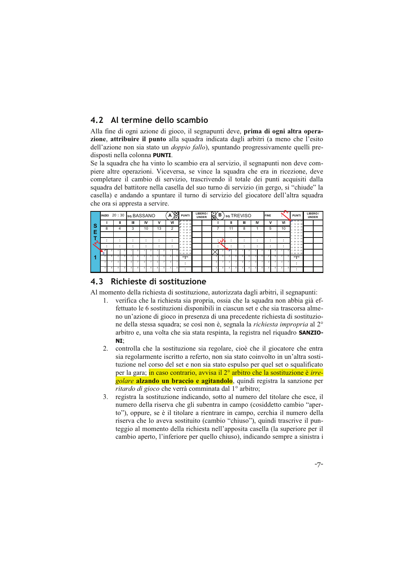## 4.2 Al termine dello scambio

Alla fine di ogni azione di gioco, il segnapunti deve, prima di ogni altra operazione, attribuire il punto alla squadra indicata dagli arbitri (a meno che l'esito dell'azione non sia stato un *doppio fallo*), spuntando progressivamente quelli predisposti nella colonna PUNTI.

Se la squadra che ha vinto lo scambio era al servizio, il segnapunti non deve compiere altre operazioni. Viceversa, se vince la squadra che era in ricezione, deve completare il cambio di servizio, trascrivendo il totale dei punti acquisiti dalla squadra del battitore nella casella del suo turno di servizio (in gergo, si "chiude" la casella) e andando a spuntare il turno di servizio del giocatore dell'altra squadra che ora si appresta a servire.

|     |                         | INIZIO 20:30 sq. BASSANO |   |   |   |        |         |    | Α | X  | <b>PUNTI</b>                           | LIBERO/ | <b>UNDER</b> | $\mathbb{R}$   | в     |    | so.TREVISO               |        | <b>FINE</b> |   |              |    | <b>PUNTI</b>              | LIBERO/<br><b>UNDER</b> |  |
|-----|-------------------------|--------------------------|---|---|---|--------|---------|----|---|----|----------------------------------------|---------|--------------|----------------|-------|----|--------------------------|--------|-------------|---|--------------|----|---------------------------|-------------------------|--|
| . S |                         |                          | Ш | Ш |   | IV     |         | v  |   | VI | <b>/</b> 13 25 37<br><b>Z</b> 14 26 38 |         |              |                |       | Ш  | Ш                        | IV     |             | ν |              | VI | 7 13 25 37<br>2 14 26 38  |                         |  |
|     | 8                       |                          |   | 3 |   | 10     |         | 13 |   | 2  | # 15 27 39<br>4 16 28 40               |         |              |                |       | 11 | 8                        |        |             | 5 |              | 10 | 15 27 39<br>16 28 40      |                         |  |
| Е   |                         |                          |   |   |   |        |         |    |   |    | 17 29 41<br>5<br>18 30 42<br>6.        |         |              |                |       |    |                          |        |             |   |              |    | 17 29 41<br>×<br>18 30 42 |                         |  |
|     |                         | $\cdot$                  |   |   | ٠ |        | $\cdot$ |    |   |    | 19 31 43<br>20 32<br>44<br>8           |         |              |                | ್ಷ ರಾ |    | ٠                        | ٠      | ٠           |   | $\cdot$      |    | 19 31 43<br>8 20 32 44    |                         |  |
|     |                         | $\overline{\phantom{a}}$ |   |   |   | ٠<br>٠ | ٠       |    |   | ٠. | 21 33 45<br>10 22 34<br>A              |         |              | . .            |       |    | ٠                        | ٠<br>٠ | ٠<br>٠      |   | ٠<br>$\cdot$ |    | 21 33 45<br>10 22 34 46   |                         |  |
|     | $\overline{ }$<br>R     |                          |   |   |   |        |         |    |   |    | 23 35<br>A<br>12 24 36 48              |         |              |                |       |    |                          |        |             |   |              |    | 23 35 47<br>12 24 36 48   |                         |  |
|     | <b>B</b>                | $\overline{ }$           |   |   |   | А      |         |    |   |    | 1.7.1                                  |         |              | $\overline{2}$ | 6     | 2  | $\overline{\phantom{a}}$ |        |             | я |              |    | 11.711                    |                         |  |
|     | $\mathbf{\overline{a}}$ | а                        |   |   |   |        |         |    |   |    | ٠                                      |         |              | ٨              |       | я  |                          |        |             |   |              |    | ٠                         |                         |  |
|     |                         |                          |   |   |   |        |         |    |   |    | ٠<br>$\cdot$                           |         |              |                |       |    |                          |        |             | × |              |    | ٠                         |                         |  |

## 4.3 Richieste di sostituzione

Al momento della richiesta di sostituzione, autorizzata dagli arbitri, il segnapunti:

- 1. verifica che la richiesta sia propria, ossia che la squadra non abbia già effettuato le 6 sostituzioni disponibili in ciascun set e che sia trascorsa almeno un'azione di gioco in presenza di una precedente richiesta di sostituzione della stessa squadra; se così non è, segnala la *richiesta impropria* al 2<sup>°</sup> arbitro e, una volta che sia stata respinta, la registra nel riquadro **SANZIO-** $NT<sup>1</sup>$
- 2. controlla che la sostituzione sia regolare, cioè che il giocatore che entra sia regolarmente iscritto a referto, non sia stato coinvolto in un'altra sostituzione nel corso del set e non sia stato espulso per quel set o squalificato per la gara; in caso contrario, avvisa il 2<sup>°</sup> arbitro che la sostituzione è *irre*golare alzando un braccio e agitandolo, quindi registra la sanzione per ritardo di gioco che verrà comminata dal 1º arbitro;
- 3. registra la sostituzione indicando, sotto al numero del titolare che esce, il numero della riserva che gli subentra in campo (cosiddetto cambio "aperto"), oppure, se è il titolare a rientrare in campo, cerchia il numero della riserva che lo aveva sostituito (cambio "chiuso"), quindi trascrive il punteggio al momento della richiesta nell'apposita casella (la superiore per il cambio aperto, l'inferiore per quello chiuso), indicando sempre a sinistra i

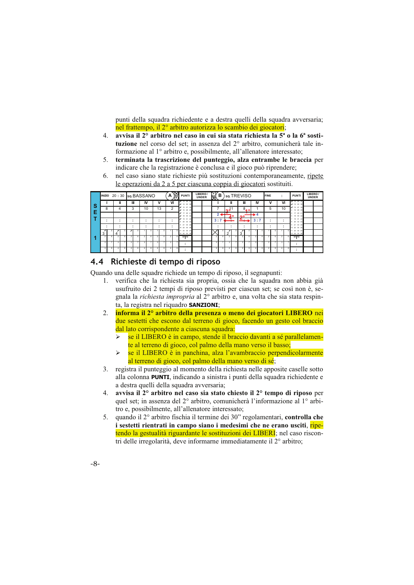punti della squadra richiedente e a destra quelli della squadra avversaria; nel frattempo, il 2<sup>°</sup> arbitro autorizza lo scambio dei giocatori;

- 4. avvisa il 2° arbitro nel caso in cui sia stata richiesta la 5<sup>ª</sup> o la 6<sup>ª</sup> sostituzione nel corso del set; in assenza del 2° arbitro, comunicherà tale informazione al 1º arbitro e, possibilmente, all'allenatore interessato;
- 5. terminata la trascrizione del punteggio, alza entrambe le braccia per indicare che la registrazione è conclusa e il gioco può riprendere:
- nel caso siano state richieste più sostituzioni contemporaneamente, ripete 6. le operazioni da 2 a 5 per ciascuna coppia di giocatori sostituiti.

|          |                     |   | INIZIO 20:30 sq. BASSANO |                          |    |    |         |    | A  | 窝 | <b>PUNTI</b>                           | LIBERO/<br><b>UNDER</b> | $\mathbb{R}$            | в   |                 |    | so.TREVISO |                          |     |     | FINE   | $\overline{\phantom{a}}$ | <b>PUNTI</b>                   | LIBERO/<br><b>UNDER</b> |  |
|----------|---------------------|---|--------------------------|--------------------------|----|----|---------|----|----|---|----------------------------------------|-------------------------|-------------------------|-----|-----------------|----|------------|--------------------------|-----|-----|--------|--------------------------|--------------------------------|-------------------------|--|
| <b>S</b> |                     |   | Ш                        | Ш                        | IV |    | ٧       |    | VI |   | $X$ 13 25 37<br><b>Z</b> 14 26 38      |                         |                         |     | ш               |    | Ш          |                          | IV  |     | ν      | VI                       | $X = 13, 25, 37$<br>2 14 26 38 |                         |  |
|          |                     | 8 | 4                        | 3                        | 10 |    |         | 13 | c  |   | 8 15 27 39<br>16, 28, 40               |                         |                         |     | nd <sup>1</sup> |    | 8          | 40 <sup>o</sup>          |     |     | 5      | 10                       | # 15 27 39<br>16 28 40         |                         |  |
|          |                     |   |                          |                          |    |    |         |    |    |   | $8'$ 17 29 41<br># 18 30 42            |                         |                         | 2.5 |                 | 40 | $\sim$     |                          | 4   |     |        |                          | 17 29 41<br>6 18 30 42         |                         |  |
|          |                     |   |                          | $\overline{\phantom{a}}$ | ۰. |    | $\cdot$ |    |    |   | <b>7</b> 19 31 43<br>8 20 32 44        |                         | 3:7                     |     | -               |    |            | $\overline{\phantom{a}}$ | 3:7 |     | $\sim$ | ٠                        | 19 31 43<br>20 32 44           |                         |  |
|          |                     |   |                          |                          |    |    |         |    |    |   | 21 33 45<br>$\alpha$<br>10 22 34<br>48 |                         |                         |     |                 |    | ۰          |                          | ٠   |     |        |                          | 21 33 45<br>10 22 34 46        |                         |  |
|          | $\overline{ }$<br>3 |   | ×                        |                          |    |    |         |    |    |   | 23 35 47<br>11<br>12 24 36 48          |                         |                         |     | ົ               |    | 3          |                          |     |     |        |                          | 23 35 47<br>12 24 36 48        |                         |  |
|          |                     |   | ×                        |                          |    |    |         |    |    |   | rrn                                    |                         | $\overline{2}$          | я   |                 |    |            |                          |     |     |        |                          | $11 - 11$                      |                         |  |
|          |                     |   | а                        |                          |    |    |         |    |    |   |                                        |                         | $\overline{\mathbf{a}}$ |     |                 |    |            |                          |     |     |        |                          | $\cdot$                        |                         |  |
|          |                     |   | 4                        |                          |    | R. |         |    |    |   |                                        |                         |                         | я   |                 |    |            | R                        |     | R I |        |                          |                                |                         |  |

## 4.4 Richieste di tempo di riposo

Quando una delle squadre richiede un tempo di riposo, il segnapunti:

- 1. verifica che la richiesta sia propria, ossia che la squadra non abbia già usufruito dei 2 tempi di riposo previsti per ciascun set; se così non è, segnala la richiesta impropria al 2º arbitro e, una volta che sia stata respinta, la registra nel riquadro SANZIONI;
- informa il 2° arbitro della presenza o meno dei giocatori LIBERO nei 2. due sestetti che escono dal terreno di gioco, facendo un gesto col braccio dal lato corrispondente a ciascuna squadra:
	- se il LIBERO è in campo, stende il braccio davanti a sé parallelamen- $\blacktriangleright$ te al terreno di gioco, col palmo della mano verso il basso;
	- se il LIBERO è in panchina, alza l'avambraccio perpendicolarmente  $\blacktriangleright$ al terreno di gioco, col palmo della mano verso di sé;
- 3. registra il punteggio al momento della richiesta nelle apposite caselle sotto alla colonna **PUNTI**, indicando a sinistra i punti della squadra richiedente e a destra quelli della squadra avversaria;
- avvisa il 2° arbitro nel caso sia stato chiesto il 2° tempo di riposo per 4. quel set; in assenza del 2° arbitro, comunicherà l'informazione al 1° arbitro e, possibilmente, all'allenatore interessato;
- 5. quando il 2° arbitro fischia il termine dei 30" regolamentari, controlla che i sestetti rientrati in campo siano i medesimi che ne erano usciti, ripetendo la gestualità riguardante le sostituzioni dei LIBERI; nel caso riscontri delle irregolarità, deve informarne immediatamente il 2<sup>°</sup> arbitro:
- $-8-$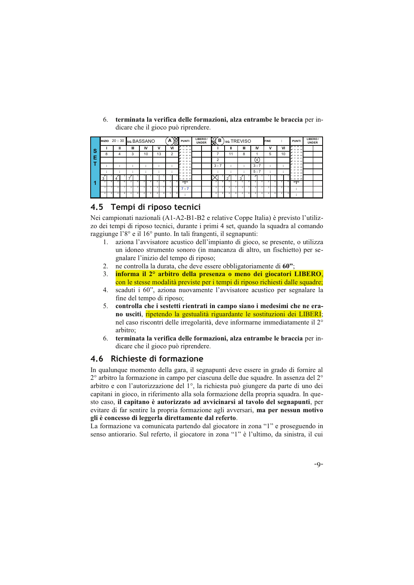|        |        |   |        |                       |                          | Α       | Ř | <b>PUNTI</b>            |  |                         |             |                                 |                    |   |        |            |                                    |                                              | <b>PUNTI</b>                         | LIBERO/<br><b>UNDER</b> |  |
|--------|--------|---|--------|-----------------------|--------------------------|---------|---|-------------------------|--|-------------------------|-------------|---------------------------------|--------------------|---|--------|------------|------------------------------------|----------------------------------------------|--------------------------------------|-------------------------|--|
|        |        |   |        |                       |                          |         |   | 4 13 25 37<br>14 26 38  |  |                         |             |                                 |                    |   |        |            |                                    |                                              | $x'$ 13 $25$ 37<br>2 14 26 38        |                         |  |
| 8      |        |   |        |                       |                          |         |   | 15 27 39<br>16 28       |  |                         |             |                                 |                    |   |        |            |                                    |                                              | 2 15 27 39<br>28,40                  |                         |  |
|        |        |   |        |                       |                          |         |   | 877294<br>$87$ 18 30 42 |  |                         |             |                                 |                    |   |        |            |                                    |                                              | $9'$ 17 29 41<br># 18 30 42          |                         |  |
|        |        |   |        |                       |                          |         |   | 19 31 43<br>20 32       |  |                         |             |                                 |                    |   |        |            |                                    |                                              | 19 31 43<br>20 32 44                 |                         |  |
|        |        |   |        |                       |                          |         |   | 21 33 45<br>10 22 34 46 |  |                         |             |                                 |                    |   |        |            |                                    |                                              | 21 33 45<br>22 34 46<br>m            |                         |  |
| ×<br>3 | x<br>Δ |   |        |                       |                          |         |   | 23 35 47<br>12 24 36 48 |  |                         |             | ٠                               | x<br>$\sim$        |   |        |            |                                    |                                              | 23 35 47<br>12 24 36 48              |                         |  |
|        |        |   |        |                       |                          |         |   | rrn                     |  | 2                       |             | $\overline{2}$                  | $\overline{ }$     | А | ٠      |            |                                    |                                              | $11 - 11$                            |                         |  |
|        |        |   |        |                       |                          |         |   | 7:7                     |  | $\overline{\mathbf{a}}$ |             |                                 |                    |   |        |            |                                    |                                              | . .                                  |                         |  |
|        |        | 4 | Ш<br>3 | <b>IV</b><br>10<br>٠. | INIZIO 20:30 sq. BASSANO | v<br>13 |   | VI<br>C                 |  | LIBERO/<br><b>UNDER</b> | $\boxtimes$ | в<br>$\mathcal{D}$<br>3:7<br>٠. | Ш<br>$\sim$<br>. . |   | Ш<br>8 | so.TREVISO | IV<br>$\overline{4}$<br>3:7<br>5:7 | <b>FINE</b><br>5<br>$\overline{\phantom{a}}$ | VI<br>10<br>$\overline{\phantom{a}}$ | $-11$                   |  |

6. terminata la verifica delle formazioni, alza entrambe le braccia per indicare che il gioco può riprendere.

## 4.5 Tempi di riposo tecnici

Nei campionati nazionali (A1-A2-B1-B2 e relative Coppe Italia) è previsto l'utilizzo dei tempi di riposo tecnici, durante i primi 4 set, quando la squadra al comando raggiunge l'8° e il 16° punto. In tali frangenti, il segnapunti:

- $1.$ aziona l'avvisatore acustico dell'impianto di gioco, se presente, o utilizza un idoneo strumento sonoro (in mancanza di altro, un fischietto) per segnalare l'inizio del tempo di riposo;
- ne controlla la durata, che deve essere obbligatoriamente di 60";  $\mathcal{D}$
- informa il 2° arbitro della presenza o meno dei giocatori LIBERO, 3. con le stesse modalità previste per i tempi di riposo richiesti dalle squadre;
- scaduti i 60", aziona nuovamente l'avvisatore acustico per segnalare la 4. fine del tempo di riposo;
- controlla che i sestetti rientrati in campo siano i medesimi che ne era-5. no usciti, ripetendo la gestualità riguardante le sostituzioni dei LIBERI; nel caso riscontri delle irregolarità, deve informarne immediatamente il 2° arhitro<sup>.</sup>
- terminata la verifica delle formazioni, alza entrambe le braccia per in-6. dicare che il gioco può riprendere.

## 4.6 Richieste di formazione

In qualunque momento della gara, il segnapunti deve essere in grado di fornire al  $2^{\circ}$  arbitro la formazione in campo per ciascuna delle due squadre. In assenza del  $2^{\circ}$ arbitro e con l'autorizzazione del 1°, la richiesta può giungere da parte di uno dei capitani in gioco, in riferimento alla sola formazione della propria squadra. In questo caso, il capitano è autorizzato ad avvicinarsi al tavolo del segnapunti, per evitare di far sentire la propria formazione agli avversari, ma per nessun motivo gli è concesso di leggerla direttamente dal referto.

La formazione va comunicata partendo dal giocatore in zona "1" e proseguendo in senso antiorario. Sul referto, il giocatore in zona "1" è l'ultimo, da sinistra, il cui

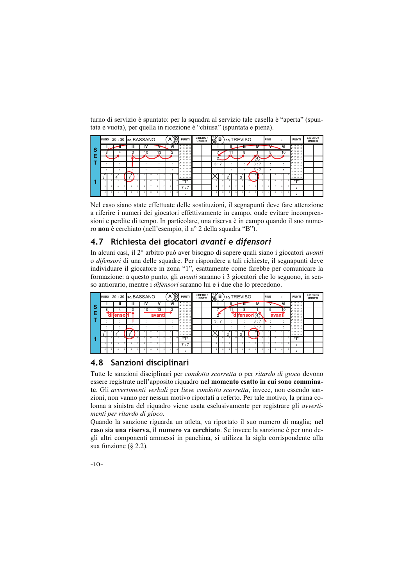|    |                |        | INIZIO 20:30 sq. BASSANO |   |    |  |    | А  | Ж | <b>PUNTI</b>                  | LIBERO/<br><b>UNDER</b> | ৠ              | в  |                | so.TREVISO     |     | <b>FINE</b>              |    | <b>PUNTI</b>               | LIBERO/<br><b>UNDER</b> |  |
|----|----------------|--------|--------------------------|---|----|--|----|----|---|-------------------------------|-------------------------|----------------|----|----------------|----------------|-----|--------------------------|----|----------------------------|-------------------------|--|
| -S |                |        |                          | Ш | IV |  |    | VI |   | 7132537<br># 14 26 38         |                         |                |    |                | π              | w   |                          | VI | $x + 132527$<br>2 14 26 38 |                         |  |
|    |                | $\sim$ |                          | ົ | 10 |  | 13 | h  |   | # 15 27 39<br>$X$ 16 28 40    |                         |                |    |                | $\Omega$       |     | ◡                        | 10 | 2 15 27 39<br>$x$ 16 28 40 |                         |  |
| F  |                |        |                          |   |    |  |    |    |   | $27$ 17 29 41<br># 18 30 42   |                         | $\sim$         |    |                |                | 4   |                          |    | 172941<br># 18 30 42       |                         |  |
|    |                |        |                          |   | ۰. |  |    |    |   | 19 31 43<br>$20 \, 32 \, 44$  |                         | 3:7            |    |                | ٠              | 3:7 | $\sim$                   |    | 19 31 43<br>20 32 44       |                         |  |
|    |                |        |                          |   | ۰. |  |    |    |   | 21 33 45<br>10 22 34<br>$-48$ |                         |                |    |                |                | 5:7 |                          |    | 21 33 45<br>10 22 34 46    |                         |  |
|    | 3              | в      | ×<br>4                   |   |    |  |    |    |   | 23 35 47<br>12 24 36 48       |                         |                |    | $\sim$         | 3              |     |                          |    | 23 35 47<br>12 24 36 48    |                         |  |
|    | $\overline{a}$ | Ŕ.     | $\overline{a}$           |   |    |  |    |    |   | 1.7.1                         |                         | $\overline{2}$ | F. | $\overline{a}$ | $\overline{2}$ |     | $\overline{\phantom{a}}$ |    | $n - n$                    |                         |  |
|    |                |        |                          |   |    |  |    |    |   | 7:7                           |                         | ×              |    |                |                |     | ٠                        |    | $\bullet$                  |                         |  |
|    |                |        |                          |   |    |  |    |    |   |                               |                         |                |    |                |                |     |                          |    |                            |                         |  |

turno di servizio è spuntato: per la squadra al servizio tale casella è "aperta" (spuntata e vuota), per quella in ricezione è "chiusa" (spuntata e piena).

Nel caso siano state effettuate delle sostituzioni, il segnapunti deve fare attenzione a riferire i numeri dei giocatori effettivamente in campo, onde evitare incomprensioni e perdite di tempo. In particolare, una riserva è in campo quando il suo numero non è cerchiato (nell'esempio, il nº 2 della squadra "B").

## 4.7 Richiesta dei giocatori avanti e difensori

In alcuni casi, il 2° arbitro può aver bisogno di sapere quali siano i giocatori avanti o difensori di una delle squadre. Per rispondere a tali richieste, il segnapunti deve individuare il giocatore in zona "1", esattamente come farebbe per comunicare la formazione: a questo punto, gli *avanti* saranno i 3 giocatori che lo seguono, in senso antiorario, mentre i *difensori* saranno lui e i due che lo precedono.

|          | INIZIO 20:30 SQ. BASSANO |                |   |                          |   |        |    | A      | 唇 | <b>PUNTI</b>                     | LIBERO/<br><b>UNDER</b> | $\mathbb{R}$   | в  | so.TREVISO |   |                |              | <b>FINE</b> |   | ٠<br>٠. | <b>PUNT</b>                    | LIBERO/<br><b>UNDER</b> |  |
|----------|--------------------------|----------------|---|--------------------------|---|--------|----|--------|---|----------------------------------|-------------------------|----------------|----|------------|---|----------------|--------------|-------------|---|---------|--------------------------------|-------------------------|--|
| <b>S</b> |                          | Ш              | Ш | IV                       |   |        | v  | VI     |   | 7132537<br># 14 26 38            |                         |                |    |            |   | Ш              | IV           |             |   | VI      | $x$ 13 25 37<br>2 14 26 38     |                         |  |
|          | ິ                        |                | 3 | 10                       |   |        | 13 | ◠<br>ے |   | 2 15 27 39<br>$X$ 16 28 40       |                         |                |    |            |   | 8              |              |             | 5 | 10      | 15 27 39<br># 16 28 40         |                         |  |
| Æ        |                          | difensori      |   |                          |   | avanti |    |        |   | 8 17 29 41<br># 18 30 42         |                         |                |    |            |   | difensori      |              |             |   | avanti  | $8'$ 17 29 41<br>$8'$ 18 30 42 |                         |  |
|          |                          | $\blacksquare$ |   |                          |   |        |    |        |   | <b>7</b> 19 31 43<br>20 32<br>44 |                         | 3:7            |    | ٠.         |   |                | 3:7          |             |   |         | 2 19 31 43<br>8 20 32 44       |                         |  |
|          |                          |                |   | $\overline{\phantom{a}}$ |   | . .    |    |        |   | 21 33 45<br>10 22 34 46          |                         |                |    |            |   |                | 5.7          |             |   |         | 21 33 45<br>10 22 34 46        |                         |  |
|          | ィ<br>3                   |                |   |                          |   |        |    |        |   | 23 35 47<br>12 24 36 48          |                         |                |    | $\sim$     |   | A<br>3         |              |             |   |         | 11 23 35 47<br>12 24 36 48     |                         |  |
|          | ×                        | $\overline{2}$ |   |                          | п |        |    |        |   | rrn                              |                         | $\overline{ }$ | £, |            | к | $\overline{ }$ |              |             |   |         | $n - n$                        |                         |  |
|          | 31                       | $\mathbf{a}$   | ٠ |                          |   |        |    |        |   | 7:7                              |                         | $\mathbf{a}$   |    |            |   | з              | $\mathbf{a}$ | a           |   |         |                                |                         |  |
|          |                          |                |   |                          |   |        |    |        |   |                                  |                         |                |    |            |   |                |              |             |   |         | $\overline{\phantom{a}}$       |                         |  |

## 4.8 Sanzioni disciplinari

Tutte le sanzioni disciplinari per condotta scorretta o per ritardo di gioco devono essere registrate nell'apposito riquadro nel momento esatto in cui sono comminate. Gli *avvertimenti verbali* per *lieve condotta scorretta*, invece, non essendo sanzioni, non vanno per nessun motivo riportati a referto. Per tale motivo, la prima colonna a sinistra del riquadro viene usata esclusivamente per registrare gli avvertimenti per ritardo di gioco.

Quando la sanzione riguarda un atleta, va riportato il suo numero di maglia; nel caso sia una riserva, il numero va cerchiato. Se invece la sanzione è per uno degli altri componenti ammessi in panchina, si utilizza la sigla corrispondente alla sua funzione  $(8, 2.2)$ .

 $-10-$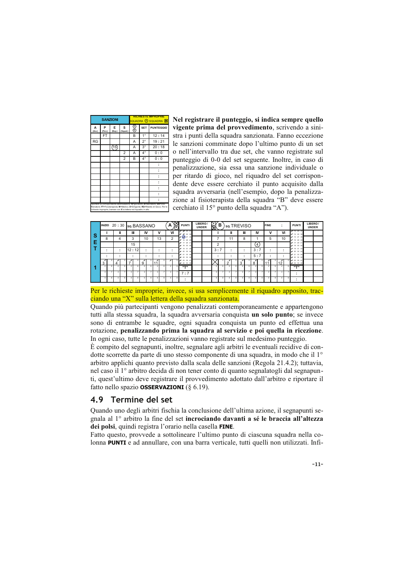|             |             | <b>SANZIONI</b> |                      |                                                                     |             | <b>RICHIESTE IMPROPRIE</b><br>SQUADRA (A) SQUADRA O                                                                                                                |
|-------------|-------------|-----------------|----------------------|---------------------------------------------------------------------|-------------|--------------------------------------------------------------------------------------------------------------------------------------------------------------------|
| A<br>(Avv.) | P<br>(Pen.) | E               | s<br>(Esp.) (Squal.) | @                                                                   | <b>SET</b>  | <b>PUNTEGGIO</b>                                                                                                                                                   |
|             | FT          |                 |                      | B                                                                   | $1^{\circ}$ | 12:14                                                                                                                                                              |
| RG          |             |                 |                      | Α                                                                   | $2^{\circ}$ | 19:21                                                                                                                                                              |
|             |             | 15              |                      | Α                                                                   | $3^{\circ}$ | 20:18                                                                                                                                                              |
|             |             |                 | 2                    | A                                                                   | $4^{\circ}$ | 0:0                                                                                                                                                                |
|             |             |                 | $\overline{2}$       | B                                                                   | $4^\circ$   | 0:0                                                                                                                                                                |
|             |             |                 |                      |                                                                     |             |                                                                                                                                                                    |
|             |             |                 |                      |                                                                     |             |                                                                                                                                                                    |
|             |             |                 |                      |                                                                     |             |                                                                                                                                                                    |
|             |             |                 |                      |                                                                     |             |                                                                                                                                                                    |
|             |             |                 |                      |                                                                     |             |                                                                                                                                                                    |
|             |             |                 |                      |                                                                     |             |                                                                                                                                                                    |
|             |             |                 |                      |                                                                     |             |                                                                                                                                                                    |
|             |             |                 |                      | richieste improprie, barrare con X la lettera nel riguadro in alto. |             | Riportare la corrispondente abbreviazione: N=giocatore; A=Allenatore; VA=Vice-<br>Nlenatore; FT=Fisioterapista; M=Medico; D=Dirigente; RG=Ritardo di Gioco. Per le |

Nel registrare il punteggio, si indica sempre quello vigente prima del provvedimento, scrivendo a sinistra i punti della squadra sanzionata. Fanno eccezione le sanzioni comminate dopo l'ultimo punto di un set o nell'intervallo tra due set, che vanno registrate sul punteggio di 0-0 del set seguente. Inoltre, in caso di penalizzazione, sia essa una sanzione individuale o per ritardo di gioco, nel riquadro del set corrispondente deve essere cerchiato il punto acquisito dalla squadra avversaria (nell'esempio, dopo la penalizzazione al fisioterapista della squadra "B" deve essere cerchiato il 15° punto della squadra "A").

|                                       | <b>INIZIO</b>           |     |                          | 20:30 sq. BASSANO |                     |        |   | А                  | K | <b>PUNTI</b>                         | <b>UNDER</b> | LIBERO/ | $\boxtimes$             | в | so TREVISO  |    |             |   |                  | <b>FINE</b>  |  |        | <b>PUNTI</b>                       | LIBERO/<br><b>UNDER</b> |  |
|---------------------------------------|-------------------------|-----|--------------------------|-------------------|---------------------|--------|---|--------------------|---|--------------------------------------|--------------|---------|-------------------------|---|-------------|----|-------------|---|------------------|--------------|--|--------|------------------------------------|-------------------------|--|
|                                       |                         |     | Ш                        | Ш                 | IV                  | v      |   | VI                 |   | $X$ $X$ $25$ $37$<br>$x \times x$ 33 |              |         |                         |   | ш           |    | Ш           |   | IV               | ٧            |  | VI     | $x + 132537$<br>2 14 26 38         |                         |  |
| $\vert \frac{\mathsf{s}}{\mathsf{E}}$ | 8                       |     |                          | 3                 | 10                  | 13     |   | 2                  |   | $x \bigcirc x$ s<br>16 28 40         |              |         |                         |   | 11          |    | 8           |   |                  | 5            |  | 10     | # 15 27 39<br>16, 28, 40           |                         |  |
|                                       |                         |     |                          | 15                |                     |        |   |                    |   | # 17 29 41<br># 18 30 42             |              |         | $\overline{2}$          |   |             |    |             |   | $\left(4\right)$ |              |  |        | 2941<br>$97$ 18 30 42              |                         |  |
|                                       |                         |     | $\overline{\phantom{a}}$ | 12:12             | $\bullet$<br>$\sim$ | ٠      |   | $\cdot$<br>$\cdot$ |   | 19 31 43<br>╱<br># 20 32 44          |              |         | 3:7                     |   |             |    | ٠           |   | 3:7              | ٠<br>$\cdot$ |  | $\sim$ | 19 31 43<br># 20 32 44             |                         |  |
|                                       |                         |     | ٠                        | $\bullet$         | $\bullet$           | ٠<br>٠ |   |                    |   | # 21 33 45<br>20 22 34 46            |              |         |                         |   |             |    | ٠<br>٠      |   | 5:7              | ٠<br>$\cdot$ |  |        | # 21 33 45<br>10 22 34 46          |                         |  |
|                                       | 1<br>3                  | л   | ×                        | ⊀                 | a                   |        |   | ×                  |   | 5 × 23 35 47<br>2 24 36 48           |              |         |                         |   | ×<br>$\sim$ | л  | ×<br>$\sim$ |   | R                | ×<br>11      |  |        | $1423$ 35 47<br><b>12 24 36 48</b> |                         |  |
|                                       |                         | 6 I | $\overline{2}$           | ٠                 |                     |        | А |                    |   | rrn                                  |              |         | 2                       |   |             | R. | 2           | А | 21               | 2            |  |        | $n - n$                            |                         |  |
|                                       | $\mathbf{\overline{z}}$ |     |                          |                   |                     |        |   |                    |   | 7:7                                  |              |         | $\overline{\mathbf{3}}$ |   |             |    |             |   |                  |              |  |        | $\bullet$<br>$\cdot$               |                         |  |
|                                       |                         | ×.  |                          |                   |                     |        | × |                    |   | ٠<br>٠                               |              |         |                         |   |             | R. |             | × |                  | ٠            |  |        | $\bullet$                          |                         |  |

Per le richieste improprie, invece, si usa semplicemente il riquadro apposito, tracciando una "X" sulla lettera della squadra sanzionata.

Quando più partecipanti vengono penalizzati contemporaneamente e appartengono tutti alla stessa squadra, la squadra avversaria conquista un solo punto; se invece sono di entrambe le squadre, ogni squadra conquista un punto ed effettua una rotazione, penalizzando prima la squadra al servizio e poi quella in ricezione. In ogni caso, tutte le penalizzazioni vanno registrate sul medesimo punteggio.

È compito del segnapunti, inoltre, segnalare agli arbitri le eventuali recidive di condotte scorrette da parte di uno stesso componente di una squadra, in modo che il 1<sup>o</sup> arbitro applichi quanto previsto dalla scala delle sanzioni (Regola 21.4.2); tuttavia, nel caso il 1º arbitro decida di non tener conto di quanto segnalatogli dal segnapunti, quest'ultimo deve registrare il provvedimento adottato dall'arbitro e riportare il fatto nello spazio **OSSERVAZIONI** (§ 6.19).

## 4.9 Termine del set

Quando uno degli arbitri fischia la conclusione dell'ultima azione, il segnapunti segnala al 1° arbitro la fine del set incrociando davanti a sé le braccia all'altezza dei polsi, quindi registra l'orario nella casella FINE.

Fatto questo, provvede a sottolineare l'ultimo punto di ciascuna squadra nella colonna **PUNTI** e ad annullare, con una barra verticale, tutti quelli non utilizzati. Infi-

 $-11-$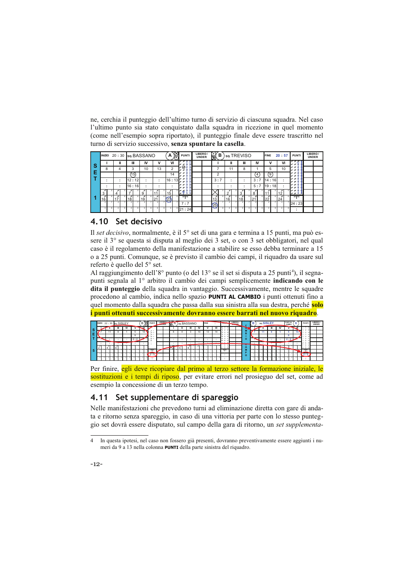ne, cerchia il punteggio dell'ultimo turno di servizio di ciascuna squadra. Nel caso l'ultimo punto sia stato conquistato dalla squadra in ricezione in quel momento (come nell'esempio sopra riportato), il punteggio finale deve essere trascritto nel turno di servizio successivo, senza spuntare la casella.

|          |              | INIZIO 20:30 sq. BASSANO      |             |                     |                   | 8<br>А         | <b>PUNTI</b>        | LIBERO/<br><b>UNDER</b> | [s y<br>в<br>₩ |        | so.TREVISO  |                | <b>FINE</b>      | 20:57                     | <b>PUNTI</b>                   | LIBERO/<br><b>UNDER</b> |
|----------|--------------|-------------------------------|-------------|---------------------|-------------------|----------------|---------------------|-------------------------|----------------|--------|-------------|----------------|------------------|---------------------------|--------------------------------|-------------------------|
| <b>S</b> |              |                               | Ш           | IV                  | v                 | VI             | $25 - 25$<br>z z    |                         |                |        | Ш           | IV             | ν                | VI                        | $x \times x$<br>$x \times \pm$ |                         |
|          | 8            |                               | 3           | 10                  | 13                | 2              | ⊛<br>$\mathbf{x}$   |                         |                | 11     | 8           |                | 5                | 10                        | ×<br>$x \times 1$              |                         |
| Е        |              |                               | (15)        |                     |                   | 14             | ×<br>u<br>×         |                         | $\overline{2}$ |        |             | $\overline{4}$ | $\left[9\right]$ |                           | ×<br>x x                       |                         |
|          |              | ٠<br>$\overline{\phantom{a}}$ | l 12 : 12 l | $\bullet$<br>$\sim$ | ٠<br>$\mathbf{r}$ | 16:13          | ×<br>×              |                         | 3:7            | ۰.     | ٠<br>$\sim$ | 3:7            | 114:16           | $\bullet$<br>$\mathbf{r}$ | ×<br>44.<br>$\mathbf{r}$       |                         |
|          |              | $\overline{\phantom{a}}$      | l16 : 16l   | $\bullet$<br>٠      |                   |                | $\mathbf{x}$<br>z z |                         |                |        |             | 5:7            | 119:18           |                           | x x<br>u u                     |                         |
|          | 3            |                               |             | 9                   |                   | 15             | 줖<br>5 M<br>×       |                         |                | $\sim$ | 3           | 8              |                  | 12                        | u u s<br>ie or di              |                         |
|          | 16           | z<br>⇁                        | 18          | z<br>19             | 21                | $\frac{1}{23}$ | 11.711              |                         | z<br>13        | 16     | z<br>18     | 21             | z<br>22          | 24                        | $11 - 11$                      |                         |
|          | $\mathbf{z}$ |                               |             |                     |                   |                | 7:7                 |                         | 25)            |        |             |                |                  |                           | 24:23                          |                         |
|          |              |                               |             |                     |                   |                | 21:24               |                         |                |        |             |                |                  |                           | $\overline{\phantom{a}}$       |                         |

## 4.10 Set decisivo

Il set decisivo, normalmente, è il 5° set di una gara e termina a 15 punti, ma può essere il 3° se questa si disputa al meglio dei 3 set, o con 3 set obbligatori, nel qual caso è il regolamento della manifestazione a stabilire se esso debba terminare a 15 o a 25 punti. Comunque, se è previsto il cambio dei campi, il riquadro da usare sul referto è quello del 5° set.

Al raggiungimento dell'8° punto (o del 13° se il set si disputa a 25 punti<sup>4</sup>), il segnapunti segnala al 1<sup>°</sup> arbitro il cambio dei campi semplicemente **indicando con le** dita il punteggio della squadra in vantaggio. Successivamente, mentre le squadre procedono al cambio, indica nello spazio PUNTI AL CAMBIO i punti ottenuti fino a quel momento dalla squadra che passa dalla sua sinistra alla sua destra, perché solo i punti ottenuti successivamente dovranno essere barrati nel nuovo riquadro.

|     | INIZIO 22:30 sq. SISLEY |  |  |  |     |   | B | 尨           | PUNTI I                           | <b>LIBEROL</b> | onDER | TR. | $\mathsf{A}$ | so BASSANO |  |    | <b>FINE</b> |    | <b>PUNICE</b>                           |     | <b>LIBERO</b><br><b>Stationary</b> | <b>TACO</b> | u | в | so.SISLEY |  |  | PUNTI AL | 6  | PUNTI             | LIBERO/<br>UNDER |  |
|-----|-------------------------|--|--|--|-----|---|---|-------------|-----------------------------------|----------------|-------|-----|--------------|------------|--|----|-------------|----|-----------------------------------------|-----|------------------------------------|-------------|---|---|-----------|--|--|----------|----|-------------------|------------------|--|
| l s |                         |  |  |  |     |   |   |             |                                   |                |       |     |              |            |  |    |             | vı | 13<br><b>PM</b> 26                      |     |                                    |             |   |   |           |  |  |          |    | 14 26             |                  |  |
| Е   |                         |  |  |  |     | э |   | 10          | 2.10                              |                |       |     | 8            |            |  | 10 | 13.         | 14 | 15<br>×<br>199                          | - 9 |                                    |             | R |   |           |  |  |          | 10 | 15<br>16<br>$-10$ |                  |  |
|     |                         |  |  |  |     | я |   |             | $\epsilon$ in<br>$\mathcal{L}$ 12 |                |       |     |              |            |  |    |             |    | $\mathbb{Z}$ 17<br>$x = x$              |     |                                    |             |   |   |           |  |  |          |    | 12<br>18          |                  |  |
|     | $\sim$                  |  |  |  | 2:2 |   |   |             | 2.13                              |                |       |     |              |            |  |    |             |    | 29<br>20                                |     |                                    |             | ົ |   |           |  |  |          |    | 18<br>22          |                  |  |
|     |                         |  |  |  |     |   |   | <b>Card</b> |                                   |                |       |     |              |            |  |    |             |    | 14.4<br><b><i><u>Programmer</u></i></b> |     |                                    |             |   |   |           |  |  |          |    | 21<br>$22 - 3$    |                  |  |
|     |                         |  |  |  |     |   |   |             |                                   |                |       |     |              |            |  |    |             |    | 12 24 26                                |     |                                    |             |   |   |           |  |  |          |    | 12 24 26          |                  |  |
| -5  |                         |  |  |  |     |   |   |             |                                   |                |       |     |              |            |  |    |             |    |                                         |     |                                    |             |   |   |           |  |  |          |    |                   |                  |  |
|     |                         |  |  |  |     |   |   |             | 2:5                               |                |       |     |              |            |  |    |             |    |                                         |     |                                    |             | o |   |           |  |  |          |    | .2:5              |                  |  |
|     |                         |  |  |  |     |   |   |             |                                   |                |       |     |              |            |  |    |             |    |                                         |     |                                    |             |   |   |           |  |  |          |    |                   |                  |  |

Per finire, egli deve ricopiare dal primo al terzo settore la formazione iniziale, le sostituzioni e i tempi di riposo, per evitare errori nel prosieguo del set, come ad esempio la concessione di un terzo tempo.

## 4.11 Set supplementare di spareggio

Nelle manifestazioni che prevedono turni ad eliminazione diretta con gare di andata e ritorno senza spareggio, in caso di una vittoria per parte con lo stesso punteggio set dovrà essere disputato, sul campo della gara di ritorno, un set supplementa-

In questa ipotesi, nel caso non fossero già presenti, dovranno preventivamente essere aggiunti i nu- $\overline{4}$ meri da 9 a 13 nella colonna **PUNTI** della parte sinistra del riquadro.

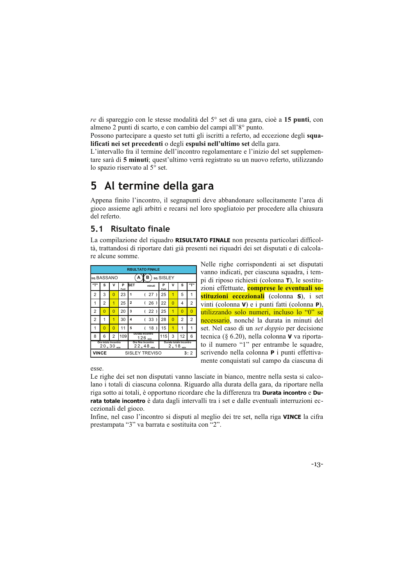re di spareggio con le stesse modalità del 5° set di una gara, cioè a 15 punti, con almeno 2 punti di scarto, e con cambio del campi all'8° punto.

Possono partecipare a questo set tutti gli iscritti a referto, ad eccezione degli squalificati nei set precedenti o degli espulsi nell'ultimo set della gara.

L'intervallo fra il termine dell'incontro regolamentare e l'inizio del set supplementare sarà di 5 minuti; quest'ultimo verrà registrato su un nuovo referto, utilizzando lo spazio riservato al 5° set.

#### 5 Al termine della gara

Appena finito l'incontro, il segnapunti deve abbandonare sollecitamente l'area di gioco assieme agli arbitri e recarsi nel loro spogliatoio per procedere alla chiusura del referto.

## 5.1 Risultato finale

La compilazione del riquadro RISULTATO FINALE non presenta particolari difficoltà, trattandosi di riportare dati già presenti nei riquadri dei set disputati e di calcolare alcune somme.

|       |                                        |                |            |                | <b>RISULTATO FINALE</b>             |           |            |                        |          |
|-------|----------------------------------------|----------------|------------|----------------|-------------------------------------|-----------|------------|------------------------|----------|
|       | so.BASSANO                             |                |            | А              | в                                   | so.SISLEY |            |                        |          |
| יידיי | s                                      | v              | P<br>Punti | <b>SET</b>     | minuti                              | Р<br>Punt | v          | s                      | "ד       |
| 2     | 3                                      | 0              | 23         | 1              | 27)                                 | 25        | 1          | 5                      | 1        |
| 1     | 2                                      | 1              | 25         | $\overline{2}$ | (26)                                | 22        | 0          | 4                      | 2        |
| 2     | $\Omega$                               | $\overline{0}$ | 20         | 3              | (22)                                | 25        | 1          | 0                      | $\Omega$ |
| 2     | 1                                      | 1              | 30         | 4              | 33)                                 | 28        | 0          | $\overline{2}$         | 2        |
| 1     | O                                      | 0              | 11         | 5              | 18)                                 | 15        | 1          | 1                      | 1        |
| 8     | 6                                      | 2              | 109        |                | Durata incontro<br>$126_{min}$      | 115       | 3          | 12                     | 6        |
|       | Ora inizio incontro<br>$20_h 30_{min}$ |                |            |                | Ora fine incontro<br>$22_h48_{min}$ |           | 2 h 18 min | Durata totale incontro |          |
| VINCE |                                        |                |            |                | SISLEY TREVISO                      |           |            |                        | 3:2      |

Nelle righe corrispondenti ai set disputati vanno indicati, per ciascuna squadra, i tempi di riposo richiesti (colonna  $\tau$ ), le sostituzioni effettuate, **comprese le eventuali so**stituzioni eccezionali (colonna S), i set vinti (colonna V) e i punti fatti (colonna P), utilizzando solo numeri, incluso lo "0" se necessario, nonché la durata in minuti del set. Nel caso di un set doppio per decisione tecnica (§ 6.20), nella colonna  $\bf{V}$  va riportato il numero "1" per entrambe le squadre, scrivendo nella colonna P i punti effettivamente conquistati sul campo da ciascuna di

esse

Le righe dei set non disputati vanno lasciate in bianco, mentre nella sesta si calcolano i totali di ciascuna colonna. Riguardo alla durata della gara, da riportare nella riga sotto ai totali, è opportuno ricordare che la differenza tra Durata incontro e Durata totale incontro è data dagli intervalli tra i set e dalle eventuali interruzioni eccezionali del gioco.

Infine, nel caso l'incontro si disputi al meglio dei tre set, nella riga VINCE la cifra prestampata "3" va barrata e sostituita con "2".

 $-13-$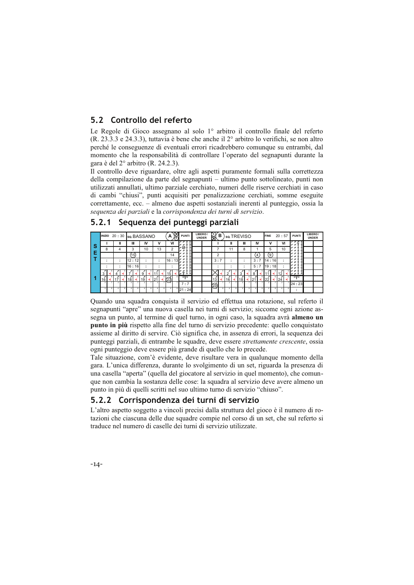## 5.2 Controllo del referto

Le Regole di Gioco assegnano al solo 1º arbitro il controllo finale del referto (R. 23.3.3 e 24.3.3), tuttavia è bene che anche il  $2^{\circ}$  arbitro lo verifichi, se non altro perché le conseguenze di eventuali errori ricadrebbero comunque su entrambi, dal momento che la responsabilità di controllare l'operato del segnapunti durante la gara è del 2<sup>°</sup> arbitro (R. 24.2.3).

Il controllo deve riguardare, oltre agli aspetti puramente formali sulla correttezza della compilazione da parte del segnapunti - ultimo punto sottolineato, punti non utilizzati annullati, ultimo parziale cerchiato, numeri delle riserve cerchiati in caso di cambi "chiusi", punti acquisiti per penalizzazione cerchiati, somme eseguite correttamente, ecc. – almeno due aspetti sostanziali inerenti al punteggio, ossia la sequenza dei parziali e la corrispondenza dei turni di servizio.

|   | INIZIO 20:30 sq. BASSANO |        |             |                                       |                 | ١Ø<br>A<br>ſR. | <b>PUNTI</b>               | LIBERO/<br><b>UNDER</b> | ₿<br>в     |    | so.TREVISO |     | <b>FINE</b> | 20:57 | <b>PUNTI</b>             | LIBERO/<br><b>UNDER</b> |
|---|--------------------------|--------|-------------|---------------------------------------|-----------------|----------------|----------------------------|-------------------------|------------|----|------------|-----|-------------|-------|--------------------------|-------------------------|
|   |                          | Ш      | Ш           | IV                                    | v               | VI             | и¥<br>z<br>$\mathbf{x}$    |                         |            | Ш  | Ш          | IV  | ν           | VI    | $x \times 1$             |                         |
| s | 8                        |        | 3           | 10                                    | 13              | 2              | ⊛<br>×                     |                         |            | 11 | 8          |     | 5           | 10    | $x \times z$<br>x x      |                         |
| E |                          |        | (15)        |                                       |                 | 14             | ×<br>x<br>۰<br>×           |                         | c          |    |            | 4   | [9]         |       | x x<br>x x x             |                         |
|   |                          | $\sim$ | 12:12       | $\overline{\phantom{a}}$              | $\sim$          | 16:13          | ×<br>×                     |                         | 3:7        |    | ٠          | 3:7 | l14 : 16l   | ÷     | ×<br>y y                 |                         |
|   | ٠                        |        | l 16 : 16 l | $\bullet$<br>$\overline{\phantom{a}}$ |                 |                | $\mathbf{x}$<br>$x \times$ |                         |            |    |            | 5:7 | 119:18      |       | y y<br>ur ar             |                         |
|   | 3                        |        |             |                                       |                 | 15             | i≴ri                       |                         |            |    |            | 8   |             |       | 5 X X 35<br>$x \times x$ |                         |
|   | 16                       |        | 18          | 19                                    | 12 <sup>4</sup> | 231            | rrn                        |                         | 13         | 16 | 18         | 21  | っっ          | 24    | $n - n$                  |                         |
|   | $\mathbf{\mathcal{R}}$   |        |             |                                       |                 |                | 7:7                        |                         | න්         |    |            |     |             |       | 24:23                    |                         |
|   | ×                        |        |             |                                       |                 |                | 21:24                      |                         | $\breve{}$ |    |            |     | R           |       | $\bullet$                |                         |

## 5.2.1 Sequenza dei punteggi parziali

Quando una squadra conquista il servizio ed effettua una rotazione, sul referto il segnapunti "apre" una nuova casella nei turni di servizio; siccome ogni azione assegna un punto, al termine di quel turno, in ogni caso, la squadra avrà almeno un **punto in più** rispetto alla fine del turno di servizio precedente: quello conquistato assieme al diritto di servire. Ciò significa che, in assenza di errori, la sequenza dei punteggi parziali, di entrambe le squadre, deve essere strettamente crescente, ossia ogni punteggio deve essere più grande di quello che lo precede.

Tale situazione, com'è evidente, deve risultare vera in qualunque momento della gara. L'unica differenza, durante lo svolgimento di un set, riguarda la presenza di una casella "aperta" (quella del giocatore al servizio in quel momento), che comunque non cambia la sostanza delle cose: la squadra al servizio deve avere almeno un punto in più di quelli scritti nel suo ultimo turno di servizio "chiuso".

## 5.2.2 Corrispondenza dei turni di servizio

L'altro aspetto soggetto a vincoli precisi dalla struttura del gioco è il numero di rotazioni che ciascuna delle due squadre compie nel corso di un set, che sul referto si traduce nel numero di caselle dei turni di servizio utilizzate.

 $-14-$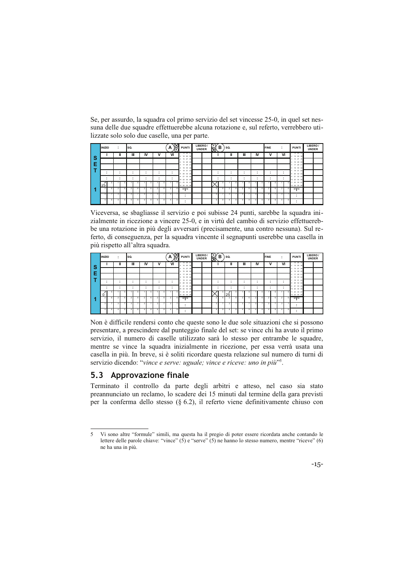Se, per assurdo, la squadra col primo servizio del set vincesse 25-0, in quel set nessuna delle due squadre effettuerebbe alcuna rotazione e, sul referto, verrebbero utilizzate solo solo due caselle, una per parte.

|   |                                             | <b>INIZIO</b> |    | $\sim$         |    | SQ.            |   |                         |    |    | A              | ∙⊗<br>扃 | <b>PUNTI</b>                                      | LIBERO/<br><b>UNDER</b> | [s y<br>⊠∖     | в  | SQ. |    |                |    |                | <b>FINE</b>             |    | ٠<br>$\cdot$            | <b>PUNT</b>                    | LIBERO/<br><b>UNDER</b> |  |
|---|---------------------------------------------|---------------|----|----------------|----|----------------|---|-------------------------|----|----|----------------|---------|---------------------------------------------------|-------------------------|----------------|----|-----|----|----------------|----|----------------|-------------------------|----|-------------------------|--------------------------------|-------------------------|--|
| s |                                             |               |    |                |    |                | Ш |                         | IV | ٧  |                | VI      | 1 13 25 37<br>2 14 26 38                          |                         |                |    | ш   |    | Ш              |    | IV             | v                       |    | VI                      | 13 25 37<br>2 14 26 38         |                         |  |
|   |                                             |               |    |                |    |                |   |                         |    |    |                |         | 3 15 27 39<br>4 16 28 40                          |                         |                |    |     |    |                |    |                |                         |    |                         | 15 27 39<br>з.<br>16 28 40     |                         |  |
| E |                                             |               |    |                |    |                |   |                         |    |    |                |         | 5 17 29 41<br>6 18 30 42                          |                         |                |    |     |    |                |    |                |                         |    |                         | 17 29 41<br>5<br>18 30 42<br>6 |                         |  |
|   |                                             |               |    | $\bullet$      |    |                |   |                         | ٠  | ٠  |                |         | 19 31 43<br>7<br>$20 \, 32 \, 44$<br>$\mathbf{R}$ |                         | ٠.             |    |     | ٠. | ٠              |    | ٠              | ٠                       |    | ٠                       | 19 31 43<br>20 32 44           |                         |  |
|   |                                             | ٠             |    | $\bullet$      |    |                |   |                         | ٠  | ٠. |                |         | 9 21 33 45<br>10 22 34 46                         |                         |                |    |     | ٠. |                |    | ٠              | ٠                       |    | ٠<br>$\cdot$            | 9 21 33 45<br>10 22 34 46      |                         |  |
|   | $\overline{\phantom{a}}$<br>25 <sub>1</sub> |               | л  |                |    |                |   |                         |    |    |                |         | 11 23 35 47<br>12 24 36 48                        |                         |                | л. |     | r, |                |    |                |                         | κ  |                         | 11 23 35 47<br>12 24 36 48     |                         |  |
|   |                                             | 2             | 61 | $\overline{2}$ | ĥ. | $\overline{2}$ |   | ٠                       |    | к  | $\overline{2}$ | а       | rrn                                               |                         | 2              | я  |     | к  | $\overline{a}$ | ĥ. | $\overline{ }$ | $\overline{ }$          | R. | $\overline{ }$          | rrn                            |                         |  |
|   |                                             | $\mathbf{a}$  | ٠  | $\mathbf{a}$   |    | 3              |   | $\overline{\mathbf{a}}$ |    |    | 3              |         | . .                                               |                         | 3 <sup>1</sup> |    |     |    | $\mathbf{a}$   |    | $\mathbf{a}$   | $\overline{\mathbf{a}}$ | z  | $\overline{\mathbf{3}}$ | $\cdot$                        |                         |  |
|   |                                             |               | R. |                | R. | ۵              |   |                         |    |    |                |         | ٠                                                 |                         |                |    |     |    |                |    |                |                         | R  |                         | $\cdot$<br>$\cdot$             |                         |  |

Viceversa, se sbagliasse il servizio e poi subisse 24 punti, sarebbe la squadra inizialmente in ricezione a vincere 25-0, e in virtù del cambio di servizio effettuerebbe una rotazione in più degli avversari (precisamente, una contro nessuna). Sul referto, di conseguenza, per la squadra vincente il segnapunti userebbe una casella in più rispetto all'altra squadra.

|    | <b>INIZIO</b>              |   | ٠<br>$\overline{\phantom{a}}$ | SQ. |                         |    |   |   | А  | 爲 | <b>PUNTI</b>                              | LIBERO/<br><b>UNDER</b> | $\mathbb{R}$   | в | SQ.            |                |    |    | <b>FINE</b>  |        | ٠<br>۰.                 | <b>PUNTI</b>                 | LIBERO/<br><b>UNDER</b> |  |
|----|----------------------------|---|-------------------------------|-----|-------------------------|----|---|---|----|---|-------------------------------------------|-------------------------|----------------|---|----------------|----------------|----|----|--------------|--------|-------------------------|------------------------------|-------------------------|--|
| 'S |                            |   | Ш                             | Ш   |                         | IV |   | v | VI |   | 13 25 37<br>2 14 26 38                    |                         |                |   |                | Ш              |    | IV | $\mathbf{v}$ |        | VI                      | 13 25 37<br>2 14 26 38       |                         |  |
| F  |                            |   |                               |     |                         |    |   |   |    |   | 3 15 27 39<br>4 16 28 40                  |                         |                |   |                |                |    |    |              |        |                         | 15 27 39<br>16 28 40<br>٠    |                         |  |
|    |                            |   |                               |     |                         |    |   |   |    |   | 5 17 29 41<br>6 18 30 42                  |                         |                |   |                |                |    |    |              |        |                         | 5 17 29 41<br>6 18 30 42     |                         |  |
|    |                            |   |                               |     | $\bullet$               |    | ٠ |   |    |   | 19 31 43<br>$20 \, 32 \, 44$<br>×         |                         |                |   | ٠.             | ٠              |    | ٠  |              |        | $\bullet$<br>۰.         | 19 31 43<br>8 20 32 44       |                         |  |
|    |                            |   |                               |     | $\cdot$                 |    | ٠ |   |    |   | 21 33 45<br>$\alpha$<br>10 22 34<br>$-48$ |                         | ٠              |   | ٠.             | ٠              |    | ٠  | ٠            |        | $\cdot$<br>۰.           | 21 33 45<br>10 22 34 46      |                         |  |
|    | $\overline{a}$<br>$\Omega$ |   |                               |     |                         | π  |   |   |    |   | 23 35 47<br>11<br>12 24 36 48             |                         |                |   | x<br>25        |                | л. |    |              |        |                         | 5 11 23 35 47<br>12 24 36 48 |                         |  |
|    | $\overline{a}$             | к | $\overline{2}$                | ×,  | $\overline{ }$          | A. |   | А |    |   | $n + n$                                   |                         | $\overline{2}$ | л | $\overline{z}$ | $\overline{a}$ | 6  | ,  | $\sim$       | ñ.     | $\overline{a}$          | $11 - 11$                    |                         |  |
|    | $\mathbf{a}$               |   | $\mathbf{a}$                  | ×,  | $\overline{\mathbf{a}}$ | ×  |   |   |    |   | ٠                                         |                         | з              |   | ٠              |                | ٠  |    | $\mathbf{a}$ | $\sim$ | $\overline{\mathbf{a}}$ | ٠                            |                         |  |
|    |                            |   |                               |     |                         | R  |   |   |    |   | ٠                                         |                         | 4              |   |                |                | R  |    |              |        |                         | ٠<br>$\cdot$                 |                         |  |

Non è difficile rendersi conto che queste sono le due sole situazioni che si possono presentare, a prescindere dal punteggio finale del set: se vince chi ha avuto il primo servizio, il numero di caselle utilizzato sarà lo stesso per entrambe le squadre, mentre se vince la squadra inizialmente in ricezione, per essa verrà usata una casella in più. In breve, si è soliti ricordare questa relazione sul numero di turni di servizio dicendo: "vince e serve: uguale; vince e riceve: uno in più".

## 5.3 Approvazione finale

Terminato il controllo da parte degli arbitri e atteso, nel caso sia stato preannunciato un reclamo, lo scadere dei 15 minuti dal termine della gara previsti per la conferma dello stesso ( $\S$  6.2), il referto viene definitivamente chiuso con

 $\overline{\phantom{a}}$ Vi sono altre "formule" simili, ma questa ha il pregio di poter essere ricordata anche contando le lettere delle parole chiave: "vince"  $(5)$  e "serve"  $(5)$  ne hanno lo stesso numero, mentre "riceve"  $(6)$ ne ha una in più.

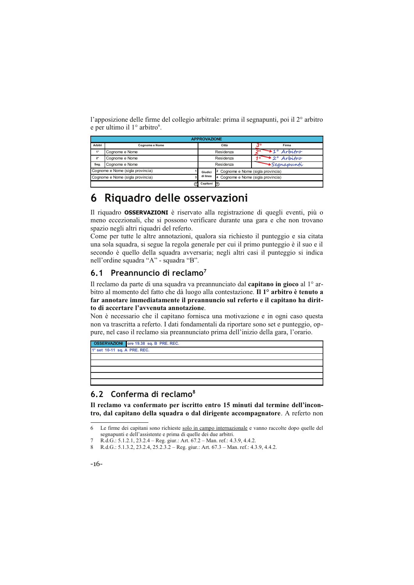l'apposizione delle firme del collegio arbitrale: prima il segnapunti, poi il 2° arbitro e per ultimo il 1º arbitro<sup>6</sup>.

|             |                                  | <b>APPROVAZIONE</b> |                                               |                          |
|-------------|----------------------------------|---------------------|-----------------------------------------------|--------------------------|
| Arbitri     | Cognome e Nome                   |                     | Città                                         | າດ<br>Firma              |
|             | Cognome e Nome                   |                     | Residenza                                     | $\rightarrow$ 1° Arbitro |
| $2^{\circ}$ | Cognome e Nome                   |                     | Residenza                                     | $\bullet$ 2° Arbitro     |
| Seg.        | Cognome e Nome                   |                     | Residenza                                     | <b>Segnapunti</b>        |
|             | Cognome e Nome (sigla provincia) | Giudici             | <sup>2</sup> Cognome e Nome (sigla provincia) |                          |
|             | Cognome e Nome (sigla provincia) | di linea            | 4 Cognome e Nome (sigla provincia)            |                          |
|             |                                  | Capitani B          |                                               |                          |

# 6 Riquadro delle osservazioni

Il riquadro OSSERVAZIONI è riservato alla registrazione di quegli eventi, più o meno eccezionali, che si possono verificare durante una gara e che non trovano spazio negli altri riquadri del referto.

Come per tutte le altre annotazioni, qualora sia richiesto il punteggio e sia citata una sola squadra, si segue la regola generale per cui il primo punteggio è il suo e il secondo è quello della squadra avversaria; negli altri casi il punteggio si indica nell'ordine squadra "A" - squadra "B".

## 6.1 Preannuncio di reclamo<sup>7</sup>

Il reclamo da parte di una squadra va preannunciato dal capitano in gioco al 1° arbitro al momento del fatto che dà luogo alla contestazione. Il 1º arbitro è tenuto a far annotare immediatamente il preannuncio sul referto e il capitano ha diritto di accertare l'avvenuta annotazione.

Non è necessario che il capitano fornisca una motivazione e in ogni caso questa non va trascritta a referto. I dati fondamentali da riportare sono set e punteggio, oppure, nel caso il reclamo sia preannunciato prima dell'inizio della gara, l'orario.



## 6.2 Conferma di reclamo<sup>8</sup>

Il reclamo va confermato per iscritto entro 15 minuti dal termine dell'incontro, dal capitano della squadra o dal dirigente accompagnatore. A referto non

## $-16-$

Le firme dei capitani sono richieste solo in campo internazionale e vanno raccolte dopo quelle del 6 segnapunti e dell'assistente e prima di quelle dei due arbitri.

R.d.G.: 5.1.2.1, 23.2.4 – Reg. giur.: Art. 67.2 – Man. ref.: 4.3.9, 4.4.2.<br>R.d.G.: 5.1.3.2, 23.2.4, 25.2.3.2 – Reg. giur.: Art. 67.3 – Man. ref.: 4.3.9, 4.4.2.  $\mathbf{\hat{z}}$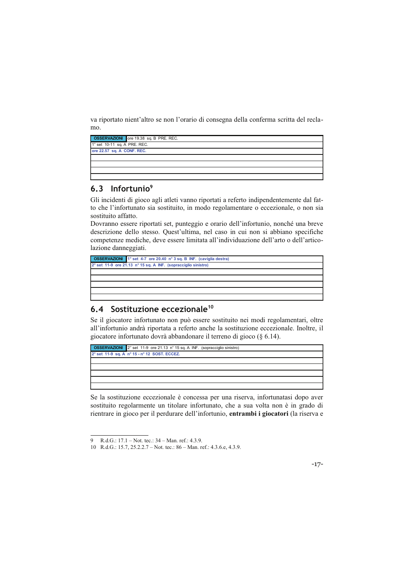va riportato nient'altro se non l'orario di consegna della conferma scritta del reclamo.

|                              | <b>OSSERVAZIONI</b> ore 19.38 sq. B PRE. REC. |
|------------------------------|-----------------------------------------------|
| 1° set 10-11 sq. A PRE. REC. |                                               |
| ore 22.57 sq. A CONF. REC.   |                                               |
|                              |                                               |
|                              |                                               |
|                              |                                               |
|                              |                                               |

## 6.3 Infortunio<sup>9</sup>

Gli incidenti di gioco agli atleti vanno riportati a referto indipendentemente dal fatto che l'infortunato sia sostituito, in modo regolamentare o eccezionale, o non sia sostituito affatto.

Dovranno essere riportati set, punteggio e orario dell'infortunio, nonché una breve descrizione dello stesso. Quest'ultima, nel caso in cui non si abbiano specifiche competenze mediche, deve essere limitata all'individuazione dell'arto o dell'articolazione danneggiati.

|                                                                | <b>OSSERVAZIONI</b> 1° set 4-7 ore 20.40 n° 3 sq. B INF. (caviglia destra) |  |
|----------------------------------------------------------------|----------------------------------------------------------------------------|--|
| 2° set 11-9 ore 21.13 n° 15 sq. A INF. (sopracciglio sinistro) |                                                                            |  |
|                                                                |                                                                            |  |
|                                                                |                                                                            |  |
|                                                                |                                                                            |  |
|                                                                |                                                                            |  |
|                                                                |                                                                            |  |

## 6.4 Sostituzione eccezionale<sup>10</sup>

Se il giocatore infortunato non può essere sostituito nei modi regolamentari, oltre all'infortunio andrà riportata a referto anche la sostituzione eccezionale. Inoltre, il giocatore infortunato dovrà abbandonare il terreno di gioco (§ 6.14).



Se la sostituzione eccezionale è concessa per una riserva, infortunatasi dopo aver sostituito regolarmente un titolare infortunato, che a sua volta non è in grado di rientrare in gioco per il perdurare dell'infortunio, entrambi i giocatori (la riserva e



R.d.G.: 17.1 - Not. tec.: 34 - Man. ref.: 4.3.9.

<sup>10</sup> R.d.G.: 15.7, 25.2.2.7 – Not. tec.: 86 – Man. ref.: 4.3.6.e, 4.3.9.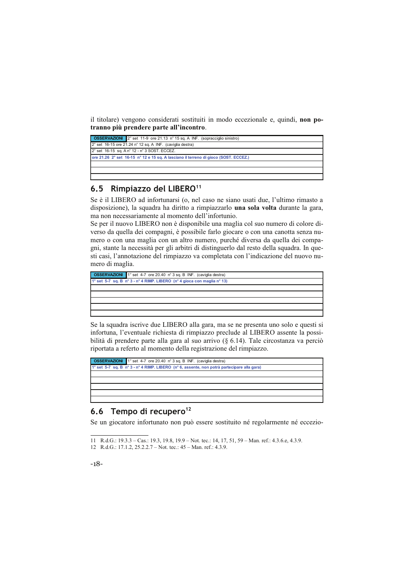il titolare) vengono considerati sostituiti in modo eccezionale e, quindi, non potranno più prendere parte all'incontro.

## 6.5 Rimpiazzo del LIBERO<sup>11</sup>

Se è il LIBERO ad infortunarsi (o, nel caso ne siano usati due, l'ultimo rimasto a disposizione), la squadra ha diritto a rimpiazzarlo una sola volta durante la gara, ma non necessariamente al momento dell'infortunio.

Se per il nuovo LIBERO non è disponibile una maglia col suo numero di colore diverso da quella dei compagni, è possibile farlo giocare o con una canotta senza numero o con una maglia con un altro numero, purché diversa da quella dei compagni, stante la necessità per gli arbitri di distinguerlo dal resto della squadra. In questi casi, l'annotazione del rimpiazzo va completata con l'indicazione del nuovo numero di maglia.

| <b>OSSERVAZIONI</b> 1° set 4-7 ore 20.40 n° 3 sq. B INF. (caviglia destra) |  |
|----------------------------------------------------------------------------|--|
| 1° set 5-7 sq. B n° 3 - n° 4 RIMP. LIBERO (n° 4 gioca con maglia n° 13)    |  |
|                                                                            |  |
|                                                                            |  |
|                                                                            |  |
|                                                                            |  |
|                                                                            |  |
|                                                                            |  |

Se la squadra iscrive due LIBERO alla gara, ma se ne presenta uno solo e questi si infortuna, l'eventuale richiesta di rimpiazzo preclude al LIBERO assente la possibilità di prendere parte alla gara al suo arrivo ( $\S$  6.14). Tale circostanza va perciò riportata a referto al momento della registrazione del rimpiazzo.



## 6.6 Tempo di recupero<sup>12</sup>

Se un giocatore infortunato non può essere sostituito né regolarmente né eccezio-

<sup>11</sup> R.d.G.: 19.3.3 - Cas.: 19.3, 19.8, 19.9 - Not. tec.: 14, 17, 51, 59 - Man. ref.: 4.3.6.e, 4.3.9.

<sup>12</sup> R.d.G.: 17.1.2, 25.2.2.7 – Not. tec.:  $45$  – Man. ref.: 4.3.9.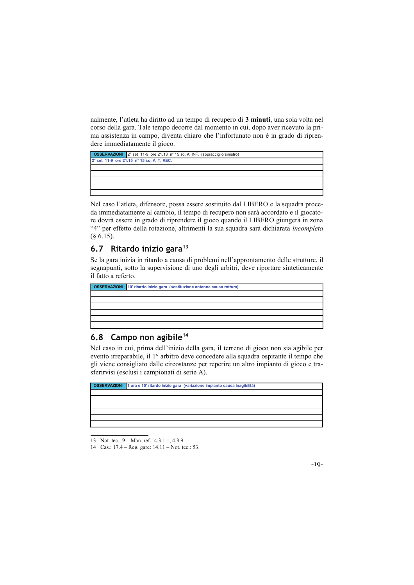nalmente, l'atleta ha diritto ad un tempo di recupero di 3 minuti, una sola volta nel corso della gara. Tale tempo decorre dal momento in cui, dopo aver ricevuto la prima assistenza in campo, diventa chiaro che l'infortunato non è in grado di riprendere immediatamente il gioco.



Nel caso l'atleta, difensore, possa essere sostituito dal LIBERO e la squadra proceda immediatamente al cambio, il tempo di recupero non sarà accordato e il giocatore dovrà essere in grado di riprendere il gioco quando il LIBERO giungerà in zona "4" per effetto della rotazione, altrimenti la sua squadra sarà dichiarata incompleta  $(\S 6.15)$ .

## 6.7 Ritardo inizio gara<sup>13</sup>

Se la gara inizia in ritardo a causa di problemi nell'approntamento delle strutture, il segnapunti, sotto la supervisione di uno degli arbitri, deve riportare sinteticamente il fatto a referto.

| <b>OSSERVAZIONI</b> 10' ritardo inizio gara (sostituzione antenne causa rottura) |
|----------------------------------------------------------------------------------|
|                                                                                  |
|                                                                                  |
|                                                                                  |
|                                                                                  |
|                                                                                  |
|                                                                                  |

## 6.8 Campo non agibile<sup>14</sup>

Nel caso in cui, prima dell'inizio della gara, il terreno di gioco non sia agibile per evento irreparabile, il 1º arbitro deve concedere alla squadra ospitante il tempo che gli viene consigliato dalle circostanze per reperire un altro impianto di gioco e trasferirvisi (esclusi i campionati di serie A).



<sup>13</sup> Not. tec.: 9 – Man. ref.: 4.3.1.1, 4.3.9.



<sup>14</sup> Cas.: 17.4 – Reg. gare: 14.11 – Not. tec.: 53.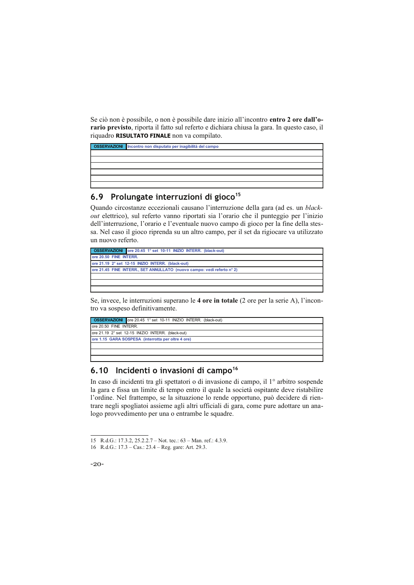Se ciò non è possibile, o non è possibile dare inizio all'incontro entro 2 ore dall'orario previsto, riporta il fatto sul referto e dichiara chiusa la gara. In questo caso, il riquadro RISULTATO FINALE non va compilato.



# 6.9 Prolungate interruzioni di gioco<sup>15</sup>

Quando circostanze eccezionali causano l'interruzione della gara (ad es. un blackout elettrico), sul referto vanno riportati sia l'orario che il punteggio per l'inizio dell'interruzione, l'orario e l'eventuale nuovo campo di gioco per la fine della stessa. Nel caso il gioco riprenda su un altro campo, per il set da rigiocare va utilizzato un nuovo referto.



Se, invece, le interruzioni superano le 4 ore in totale (2 ore per la serie A), l'incontro va sospeso definitivamente.

|                                                    | <b>OSSERVAZIONI</b> ore 20.45 1° set 10-11 INIZIO INTERR. (black-out) |  |
|----------------------------------------------------|-----------------------------------------------------------------------|--|
| ore 20.50 FINE INTERR.                             |                                                                       |  |
|                                                    | ore 21.19 2° set 12-15 INIZIO INTERR. (black-out)                     |  |
| ore 1.15 GARA SOSPESA (interrotta per oltre 4 ore) |                                                                       |  |
|                                                    |                                                                       |  |
|                                                    |                                                                       |  |

## 6.10 Incidenti o invasioni di campo<sup>16</sup>

In caso di incidenti tra gli spettatori o di invasione di campo, il 1<sup>°</sup> arbitro sospende la gara e fissa un limite di tempo entro il quale la società ospitante deve ristabilire l'ordine. Nel frattempo, se la situazione lo rende opportuno, può decidere di rientrare negli spogliatoi assieme agli altri ufficiali di gara, come pure adottare un analogo provvedimento per una o entrambe le squadre.

<sup>16</sup> R.d.G.: 17.3 - Cas.: 23.4 - Reg. gare: Art. 29.3.



<sup>15</sup> R.d.G.: 17.3.2, 25.2.2.7 – Not. tec.: 63 – Man. ref.: 4.3.9.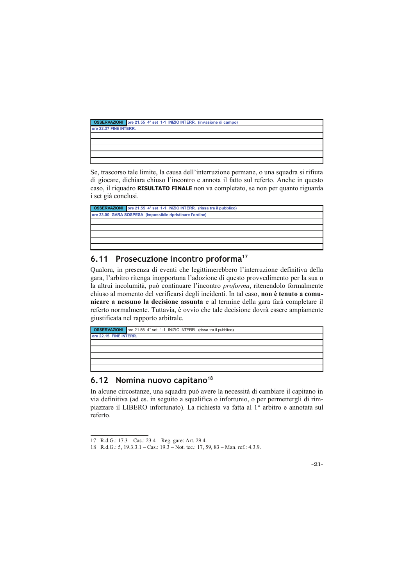|                        | <b>OSSERVAZIONI</b> ore 21.55 4° set 1-1 INIZIO INTERR. (invasione di campo) |  |
|------------------------|------------------------------------------------------------------------------|--|
| ore 22.37 FINE INTERR. |                                                                              |  |
|                        |                                                                              |  |
|                        |                                                                              |  |
|                        |                                                                              |  |
|                        |                                                                              |  |
|                        |                                                                              |  |

Se, trascorso tale limite, la causa dell'interruzione permane, o una squadra si rifiuta di giocare, dichiara chiuso l'incontro e annota il fatto sul referto. Anche in questo caso, il riquadro RISULTATO FINALE non va completato, se non per quanto riguarda i set già conclusi.

| <b>OSSERVAZIONI</b> ore 21.55 4° set 1-1 INIZIO INTERR. (rissa tra il pubblico) |  |
|---------------------------------------------------------------------------------|--|
| ore 23.00 GARA SOSPESA (impossibile ripristinare l'ordine)                      |  |
|                                                                                 |  |
|                                                                                 |  |
|                                                                                 |  |
|                                                                                 |  |
|                                                                                 |  |

#### Prosecuzione incontro proforma<sup>17</sup>  $6.11$

Qualora, in presenza di eventi che legittimerebbero l'interruzione definitiva della gara, l'arbitro ritenga inopportuna l'adozione di questo provvedimento per la sua o la altrui incolumità, può continuare l'incontro proforma, ritenendolo formalmente chiuso al momento del verificarsi degli incidenti. In tal caso, non è tenuto a comunicare a nessuno la decisione assunta e al termine della gara farà completare il referto normalmente. Tuttavia, è ovvio che tale decisione dovrà essere ampiamente giustificata nel rapporto arbitrale.

|                        | <b>OSSERVAZIONI</b> ore 21.55 4° set 1-1 INIZIO INTERR. (rissa tra il pubblico) |  |
|------------------------|---------------------------------------------------------------------------------|--|
| ore 22.15 FINE INTERR. |                                                                                 |  |
|                        |                                                                                 |  |
|                        |                                                                                 |  |
|                        |                                                                                 |  |
|                        |                                                                                 |  |
|                        |                                                                                 |  |

## 6.12 Nomina nuovo capitano<sup>18</sup>

In alcune circostanze, una squadra può avere la necessità di cambiare il capitano in via definitiva (ad es. in seguito a squalifica o infortunio, o per permettergli di rimpiazzare il LIBERO infortunato). La richiesta va fatta al 1<sup>o</sup> arbitro e annotata sul referto.



<sup>17</sup> R.d.G.: 17.3 – Cas.: 23.4 – Reg. gare: Art. 29.4.<br>18 R.d.G.: 5, 19.3.3.1 – Cas.: 19.3 – Not. tec.: 17, 59, 83 – Man. ref.: 4.3.9.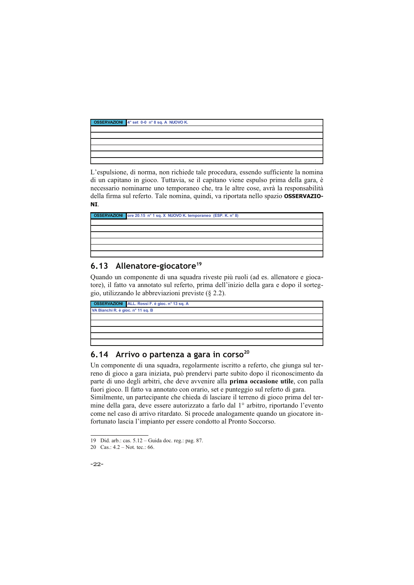| OSSERVAZIONI 4° set 0-0 n° 8 sq. A NUOVO K. |
|---------------------------------------------|
|                                             |
|                                             |
|                                             |
|                                             |
|                                             |
|                                             |

L'espulsione, di norma, non richiede tale procedura, essendo sufficiente la nomina di un capitano in gioco. Tuttavia, se il capitano viene espulso prima della gara, è necessario nominarne uno temporaneo che, tra le altre cose, avrà la responsabilità della firma sul referto. Tale nomina, quindi, va riportata nello spazio OSSERVAZIO-NI.

| OSSERVAZIONI ore 20.15 nº 1 sq. X NUOVO K. temporaneo (ESP. K. nº 8) |
|----------------------------------------------------------------------|
|                                                                      |
|                                                                      |
|                                                                      |
|                                                                      |
|                                                                      |
|                                                                      |

## 6.13 Allenatore-giocatore<sup>19</sup>

Quando un componente di una squadra riveste più ruoli (ad es. allenatore e giocatore), il fatto va annotato sul referto, prima dell'inizio della gara e dopo il sorteggio, utilizzando le abbreviazioni previste  $(\S 2.2)$ .

|                                   | <b>OSSERVAZIONI</b> ALL. Rossi F. è gioc. nº 13 sq. A |  |
|-----------------------------------|-------------------------------------------------------|--|
| VA Bianchi R. è gioc. nº 11 sq. B |                                                       |  |
|                                   |                                                       |  |
|                                   |                                                       |  |
|                                   |                                                       |  |
|                                   |                                                       |  |
|                                   |                                                       |  |

# 6.14 Arrivo o partenza a gara in corso<sup>20</sup>

Un componente di una squadra, regolarmente iscritto a referto, che giunga sul terreno di gioco a gara iniziata, può prendervi parte subito dopo il riconoscimento da parte di uno degli arbitri, che deve avvenire alla prima occasione utile, con palla fuori gioco. Il fatto va annotato con orario, set e punteggio sul referto di gara. Similmente, un partecipante che chieda di lasciare il terreno di gioco prima del ter-

mine della gara, deve essere autorizzato a farlo dal 1º arbitro, riportando l'evento come nel caso di arrivo ritardato. Si procede analogamente quando un giocatore infortunato lascia l'impianto per essere condotto al Pronto Soccorso.

<sup>20</sup> Cas.:  $4.2 - Not.$  tec.: 66.



<sup>19</sup> Did. arb.: cas. 5.12 - Guida doc. reg.: pag. 87.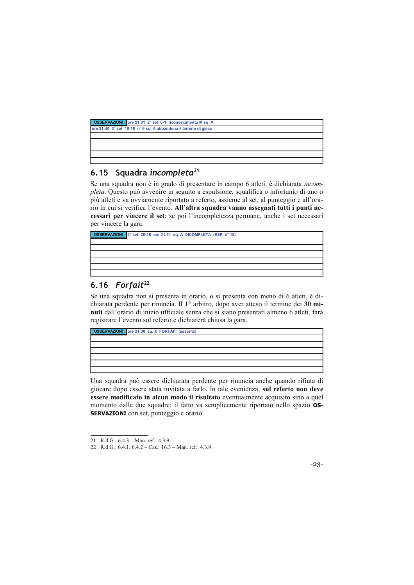|                                                                 | <b>OSSERVAZIONI</b> ore 21.01 2° set 0-1 riconoscimento M sq. A |  |
|-----------------------------------------------------------------|-----------------------------------------------------------------|--|
| ore 21.40 3° set 10-10 n° 6 sq. A abbandona il terreno di gioco |                                                                 |  |
|                                                                 |                                                                 |  |
|                                                                 |                                                                 |  |
|                                                                 |                                                                 |  |
|                                                                 |                                                                 |  |
|                                                                 |                                                                 |  |

## 6.15 Squadra incompleta<sup>21</sup>

Se una squadra non è in grado di presentare in campo 6 atleti, è dichiarata incompleta. Questo può avvenire in seguito a espulsione, squalifica o infortunio di uno o più atleti e va ovviamente riportato a referto, assieme al set, al punteggio e all'orario in cui si verifica l'evento. All'altra squadra vanno assegnati tutti i punti necessari per vincere il set; se poi l'incompletezza permane, anche i set necessari per vincere la gara.

**OSSERVAZIONI** 3° set 20-18 ore 21.51 sq. A INCOMPLETA (ESP. n° 15)

## 6.16 Forfait<sup>22</sup>

Se una squadra non si presenta in orario, o si presenta con meno di 6 atleti, è dichiarata perdente per rinuncia. Il 1º arbitro, dopo aver atteso il termine dei 30 minuti dall'orario di inizio ufficiale senza che si siano presentati almeno 6 atleti, farà registrare l'evento sul referto e dichiarerà chiusa la gara.



Una squadra può essere dichiarata perdente per rinuncia anche quando rifiuta di giocare dopo essere stata invitata a farlo. In tale evenienza, sul referto non deve essere modificato in alcun modo il risultato eventualmente acquisito sino a quel momento dalle due squadre: il fatto va semplicemente riportato nello spazio OS-**SERVAZIONI** con set, punteggio e orario.

 $-23-$ 

<sup>21</sup> R.d.G.: 6.4.3 - Man. ref.: 4.3.9.

<sup>22</sup> R.d.G.: 6.4.1, 6.4.2 - Cas.: 16.3 - Man. ref.: 4.3.9.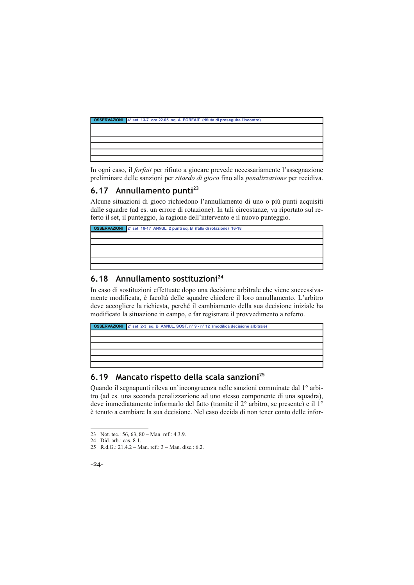

In ogni caso, il *forfait* per rifiuto a giocare prevede necessariamente l'assegnazione preliminare delle sanzioni per ritardo di gioco fino alla penalizzazione per recidiva.

# 6.17 Annullamento punti<sup>23</sup>

Alcune situazioni di gioco richiedono l'annullamento di uno o più punti acquisiti dalle squadre (ad es. un errore di rotazione). In tali circostanze, va riportato sul referto il set, il punteggio, la ragione dell'intervento e il nuovo punteggio.

## 6.18 Annullamento sostituzioni<sup>24</sup>

In caso di sostituzioni effettuate dopo una decisione arbitrale che viene successivamente modificata, è facoltà delle squadre chiedere il loro annullamento. L'arbitro deve accogliere la richiesta, perché il cambiamento della sua decisione iniziale ha modificato la situazione in campo, e far registrare il provvedimento a referto.

| <b>OSSERVAZIONI</b> 2° set 2-3 sq. B ANNUL. SOST. n° 9 - n° 12 (modifica decisione arbitrale) |
|-----------------------------------------------------------------------------------------------|
|                                                                                               |
|                                                                                               |
|                                                                                               |
|                                                                                               |
|                                                                                               |
|                                                                                               |

## 6.19 Mancato rispetto della scala sanzioni<sup>25</sup>

Ouando il segnapunti rileva un'incongruenza nelle sanzioni comminate dal 1<sup>°</sup> arbitro (ad es. una seconda penalizzazione ad uno stesso componente di una squadra), deve immediatamente informarlo del fatto (tramite il 2<sup>°</sup> arbitro, se presente) e il 1<sup>°</sup> è tenuto a cambiare la sua decisione. Nel caso decida di non tener conto delle infor-

<sup>25</sup> R.d.G.: 21.4.2 – Man. ref.:  $3$  – Man. disc.: 6.2.



<sup>23</sup> Not. tec.: 56, 63, 80 - Man. ref.: 4.3.9.

<sup>24</sup> Did. arb.: cas. 8.1.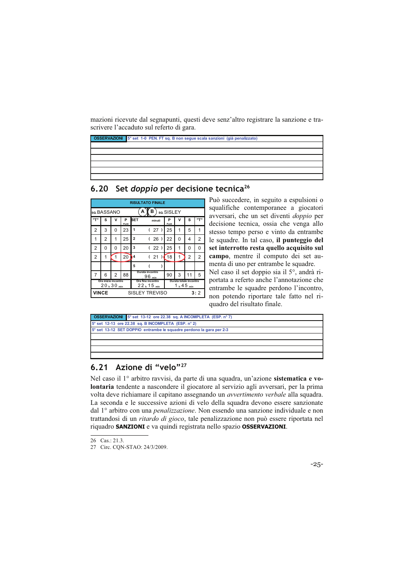mazioni ricevute dal segnapunti, questi deve senz'altro registrare la sanzione e trascrivere l'accaduto sul referto di gara.



6.20 Set doppio per decisione tecnica<sup>26</sup>

|     |                                                        |   |            |            | <b>RISULTATO FINALE</b>                |            |                                     |    |     |  |  |  |  |  |  |
|-----|--------------------------------------------------------|---|------------|------------|----------------------------------------|------------|-------------------------------------|----|-----|--|--|--|--|--|--|
|     | so. BASSANO                                            |   |            |            | в<br>Α                                 | so.SISLEY  |                                     |    |     |  |  |  |  |  |  |
| "ד" | s                                                      | v | P<br>Punti | <b>SET</b> | minuti                                 | P<br>Punti | ν                                   | S  | יד" |  |  |  |  |  |  |
| 2   | 3                                                      | 0 | 23         | 1          | 27)<br>$\overline{ }$                  | 25         | 1                                   | 5  | 1   |  |  |  |  |  |  |
| 1   | 2<br>25<br>$\overline{2}$<br>22<br>1<br>(26)<br>0<br>4 |   |            |            |                                        |            |                                     |    |     |  |  |  |  |  |  |
| 2   | 0                                                      | 0 | 20         | 3          | (22)                                   | 25         | 1                                   | 0  | 0   |  |  |  |  |  |  |
| 2   | 1                                                      | 1 | 20         | 4          | (21)                                   | 18         | 1                                   | 2  | 2   |  |  |  |  |  |  |
|     |                                                        |   |            | 5          |                                        |            |                                     |    |     |  |  |  |  |  |  |
| 7   | 6                                                      | 2 | 88         |            | Durata incontro<br>$96$ <sub>min</sub> | 90         | 3                                   | 11 | 5   |  |  |  |  |  |  |
|     | Ora inizio incontro<br>$20_h 30_{min}$                 |   |            |            | Ora fine incontro<br>$22_h 15_{min}$   |            | Durata totale incontro<br>1, 45 min |    |     |  |  |  |  |  |  |
|     | <b>VINCE</b>                                           |   |            |            | <b>SISLEY TREVISO</b>                  |            |                                     |    | 3:2 |  |  |  |  |  |  |

Può succedere, in seguito a espulsioni o squalifiche contemporanee a giocatori avversari, che un set diventi doppio per decisione tecnica, ossia che venga allo stesso tempo perso e vinto da entrambe le squadre. In tal caso, il punteggio del set interrotto resta quello acquisito sul campo, mentre il computo dei set aumenta di uno per entrambe le squadre.

Nel caso il set doppio sia il 5°, andrà riportata a referto anche l'annotazione che entrambe le squadre perdono l'incontro, non potendo riportare tale fatto nel riquadro del risultato finale.



#### Azione di "velo"<sup>27</sup>  $6.21$

Nel caso il 1º arbitro ravvisi, da parte di una squadra, un'azione sistematica e volontaria tendente a nascondere il giocatore al servizio agli avversari, per la prima volta deve richiamare il capitano assegnando un avvertimento verbale alla squadra. La seconda e le successive azioni di velo della squadra devono essere sanzionate dal 1º arbitro con una *penalizzazione*. Non essendo una sanzione individuale e non trattandosi di un *ritardo di gioco*, tale penalizzazione non può essere riportata nel riquadro SANZIONI e va quindi registrata nello spazio OSSERVAZIONI.

 $-25-$ 

<sup>26</sup> Cas.: 21.3.

<sup>27</sup> Circ. CQN-STAO: 24/3/2009.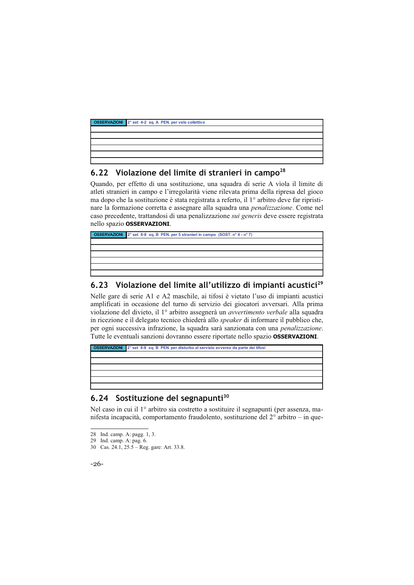

## 6.22 Violazione del limite di stranieri in campo<sup>28</sup>

Quando, per effetto di una sostituzione, una squadra di serie A vìola il limite di atleti stranieri in campo e l'irregolarità viene rilevata prima della ripresa del gioco ma dopo che la sostituzione è stata registrata a referto, il 1º arbitro deve far ripristinare la formazione corretta e assegnare alla squadra una penalizzazione. Come nel caso precedente, trattandosi di una penalizzazione sui generis deve essere registrata nello spazio OSSERVAZIONI.

**OSSERVAZIONI** 2° set 8-8 sq. B PEN. per 5 stranieri in campo (SOST. n° 4 - n° 7)

#### Violazione del limite all'utilizzo di impianti acustici<sup>29</sup>  $6.23$

Nelle gare di serie A1 e A2 maschile, ai tifosi è vietato l'uso di impianti acustici amplificati in occasione del turno di servizio dei giocatori avversari. Alla prima violazione del divieto, il 1º arbitro assegnerà un avvertimento verbale alla squadra in ricezione e il delegato tecnico chiederà allo speaker di informare il pubblico che, per ogni successiva infrazione, la squadra sarà sanzionata con una penalizzazione. Tutte le eventuali sanzioni dovranno essere riportate nello spazio OSSERVAZIONI.

**OSSERVAZIONI** 2° set 8-8 sq. B PEN. per disturbo al servizio avverso da parte dei tifosi

#### Sostituzione del segnapunti<sup>30</sup>  $6.24$

Nel caso in cui il 1<sup>°</sup> arbitro sia costretto a sostituire il segnapunti (per assenza, manifesta incapacità, comportamento fraudolento, sostituzione del  $2^{\circ}$  arbitro – in que-

 $-26-$ 

<sup>28</sup> Ind. camp. A: pagg. 1, 3.

<sup>29</sup> Ind. camp. A: pag. 6.<br>30 Cas. 24.1, 25.5 – Reg. gare: Art. 33.8.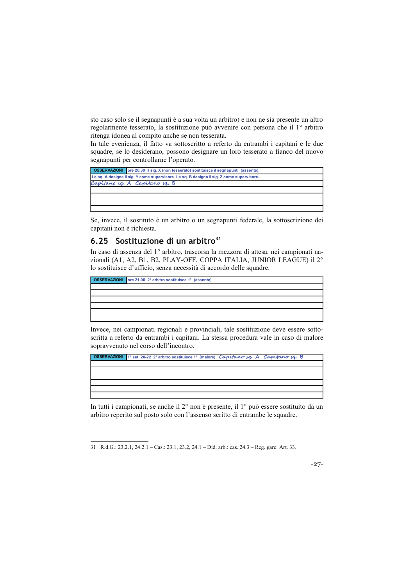sto caso solo se il segnapunti è a sua volta un arbitro) e non ne sia presente un altro regolarmente tesserato, la sostituzione può avvenire con persona che il 1º arbitro ritenga idonea al compito anche se non tesserata.

In tale evenienza, il fatto va sottoscritto a referto da entrambi i capitani e le due squadre, se lo desiderano, possono designare un loro tesserato a fianco del nuovo segnapunti per controllarne l'operato.

| <b>OSSERVAZIONI</b> ore 20.30 Il sig. X (non tesserato) sostituisce il segnapunti (assente). |
|----------------------------------------------------------------------------------------------|
| La sq. A designa il sig. Y come supervisore. La sq. B designa il sig. Z come supervisore.    |
| Capitano sq. A Capitano sq. B                                                                |
|                                                                                              |
|                                                                                              |
|                                                                                              |
|                                                                                              |

Se, invece, il sostituto è un arbitro o un segnapunti federale, la sottoscrizione dei capitani non è richiesta.

## 6.25 Sostituzione di un arbitro<sup>31</sup>

In caso di assenza del 1º arbitro, trascorsa la mezzora di attesa, nei campionati nazionali (A1, A2, B1, B2, PLAY-OFF, COPPA ITALIA, JUNIOR LEAGUE) il 2° lo sostituisce d'ufficio, senza necessità di accordo delle squadre.

**OSSERVAZIONI** ore 21.00 2° arbitro sostituisce 1° (assente)

Invece, nei campionati regionali e provinciali, tale sostituzione deve essere sottoscritta a referto da entrambi i capitani. La stessa procedura vale in caso di malore sopravvenuto nel corso dell'incontro.



In tutti i campionati, se anche il 2<sup>°</sup> non è presente, il 1<sup>°</sup> può essere sostituito da un arbitro reperito sul posto solo con l'assenso scritto di entrambe le squadre.

 $-27-$ 

<sup>31</sup> R.d.G.: 23.2.1, 24.2.1 - Cas.: 23.1, 23.2, 24.1 - Did. arb.: cas. 24.3 - Reg. gare: Art. 33.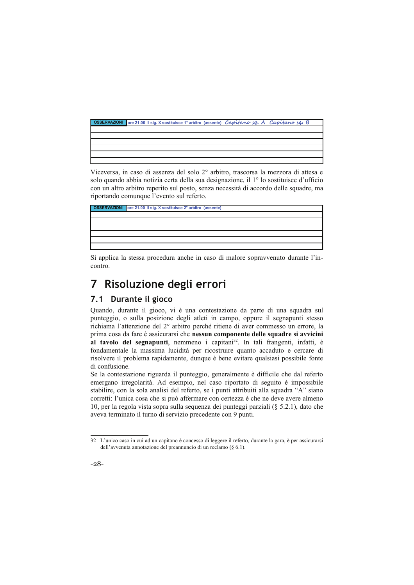|  |  | OSSERVAZIONI ore 21.00 Il sig. X sostituisce 1° arbitro (assente) Capitano sq. A Capitano sq. B |  |
|--|--|-------------------------------------------------------------------------------------------------|--|
|  |  |                                                                                                 |  |
|  |  |                                                                                                 |  |
|  |  |                                                                                                 |  |
|  |  |                                                                                                 |  |
|  |  |                                                                                                 |  |
|  |  |                                                                                                 |  |

Viceversa, in caso di assenza del solo 2º arbitro, trascorsa la mezzora di attesa e solo quando abbia notizia certa della sua designazione, il 1º lo sostituisce d'ufficio con un altro arbitro reperito sul posto, senza necessità di accordo delle squadre, ma riportando comunque l'evento sul referto.



Si applica la stessa procedura anche in caso di malore sopravvenuto durante l'incontro.

### Risoluzione degli errori 7

## 7.1 Durante il gioco

Quando, durante il gioco, vi è una contestazione da parte di una squadra sul punteggio, o sulla posizione degli atleti in campo, oppure il segnapunti stesso richiama l'attenzione del 2° arbitro perché ritiene di aver commesso un errore, la prima cosa da fare è assicurarsi che nessun componente delle squadre si avvicini al tavolo del segnapunti, nemmeno i capitani<sup>32</sup>. In tali frangenti, infatti, è fondamentale la massima lucidità per ricostruire quanto accaduto e cercare di risolvere il problema rapidamente, dunque è bene evitare qualsiasi possibile fonte di confusione.

Se la contestazione riguarda il punteggio, generalmente è difficile che dal referto emergano irregolarità. Ad esempio, nel caso riportato di seguito è impossibile stabilire, con la sola analisi del referto, se i punti attribuiti alla squadra "A" siano corretti: l'unica cosa che si può affermare con certezza è che ne deve avere almeno 10, per la regola vista sopra sulla sequenza dei punteggi parziali (§ 5.2.1), dato che aveva terminato il turno di servizio precedente con 9 punti.

<sup>32</sup> L'unico caso in cui ad un capitano è concesso di leggere il referto, durante la gara, è per assicurarsi dell'avvenuta annotazione del preannuncio di un reclamo ( $\S$  6.1).

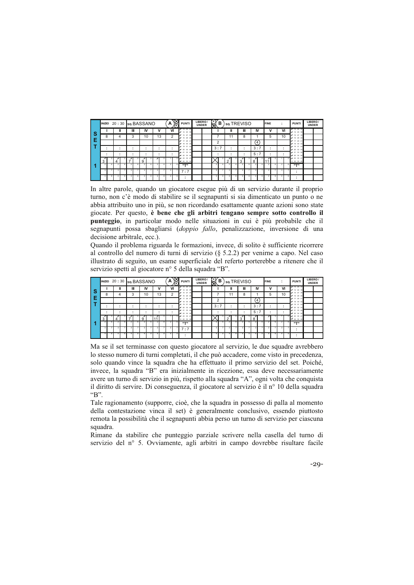|          | INIZIO 20:30 sq. BASSANO |                |   |         |         |    | A | $\boxtimes$ | <b>PUNTI</b>                                    | <b>UNDER</b> | LIBERO/ | $\boxtimes$    | в |        | so.TREVISO |   |                  | <b>FINE</b>  |         |    | <b>PUNTI</b>                                                               | LIBERO/<br><b>UNDER</b> |  |
|----------|--------------------------|----------------|---|---------|---------|----|---|-------------|-------------------------------------------------|--------------|---------|----------------|---|--------|------------|---|------------------|--------------|---------|----|----------------------------------------------------------------------------|-------------------------|--|
| <b>S</b> |                          | $\blacksquare$ | Ш | IV      |         | v  |   | VI          | $X$ 13 25 37<br><b>Z</b> 14 26 38               |              |         |                |   |        | Ш          |   | IV               | ν            | VI      |    | $X$ 13 $25$ $37$<br>2 14 26 38                                             |                         |  |
|          | 8                        | 4              | 3 | 10      |         | 13 |   | 2           | # 15 27 39<br>4162840                           |              |         |                |   | 11     | 8          |   |                  | 5            | 10      |    | 2 15 27 39<br>$4'$ 16 28 40                                                |                         |  |
| Е        |                          |                |   |         |         |    |   |             | $8'$ 17 29 41<br># 18 30<br>42                  |              |         | c              | ∠ |        |            |   | $\left(4\right)$ |              |         |    | $8'$ 17 29 41<br>$8'$ 18 30 42                                             |                         |  |
|          |                          |                |   | ۰.      | $\cdot$ |    |   | ٠.          | <b>7</b> 19 31 43<br># 20 32 44                 |              |         | 3:7            |   |        |            |   | 3:7              |              | $\cdot$ | ۰. | <b>7</b> 19 31 43<br># 20 32 44                                            |                         |  |
|          |                          |                |   | $\cdot$ | $\cdot$ |    |   |             | # 21 33 45<br><b>25 22 34</b><br>$\overline{a}$ |              |         |                |   |        |            |   | 5:7              | ٠<br>$\cdot$ | $\cdot$ | ۰. | # 21 33 45<br>16 22 34 46                                                  |                         |  |
|          | 3                        | $\mathcal{A}$  |   | 9       |         |    |   |             | X 23 35 47<br><b>27</b> 24 36 48                |              |         |                |   | ×<br>◠ | ×<br>3     |   | ×<br>8           |              |         |    | $5$ $\cancel{10}$ $\cancel{23}$ $\cancel{35}$ $\cancel{47}$<br>12 24 36 48 |                         |  |
|          |                          |                |   |         |         |    |   |             | rrn                                             |              |         | $\overline{2}$ |   |        |            | А |                  |              |         |    | 11.711                                                                     |                         |  |
|          |                          |                |   |         |         |    |   |             | 7:7                                             |              |         | з              |   |        |            |   |                  |              |         |    | $\cdot$                                                                    |                         |  |
|          |                          |                |   |         |         |    |   |             | ٠                                               |              |         |                |   |        |            |   |                  |              |         |    | ٠                                                                          |                         |  |

In altre parole, quando un giocatore esegue più di un servizio durante il proprio turno, non c'è modo di stabilire se il segnapunti si sia dimenticato un punto o ne abbia attribuito uno in più, se non ricordando esattamente quante azioni sono state giocate. Per questo, è bene che gli arbitri tengano sempre sotto controllo il punteggio, in particolar modo nelle situazioni in cui è più probabile che il segnapunti possa sbagliarsi (doppio fallo, penalizzazione, inversione di una decisione arbitrale, ecc.).

Quando il problema riguarda le formazioni, invece, di solito è sufficiente ricorrere al controllo del numero di turni di servizio  $(\S$  5.2.2) per venirne a capo. Nel caso illustrato di seguito, un esame superficiale del referto porterebbe a ritenere che il servizio spetti al giocatore nº 5 della squadra "B".

|   | <b>INIZIO</b>   |   | 20:30 sq. BASSANO        |   |        |    | A | S              | <b>PUNTI</b>                    | LIBERO/<br><b>UNDER</b> | $\mathbb{R}$  | в  |        |    | so.TREVISO |   |                  | <b>FINE</b> | $\overline{\phantom{a}}$ | <b>PUNTI</b>                           | LIBERO/<br><b>UNDER</b> |  |
|---|-----------------|---|--------------------------|---|--------|----|---|----------------|---------------------------------|-------------------------|---------------|----|--------|----|------------|---|------------------|-------------|--------------------------|----------------------------------------|-------------------------|--|
| S |                 |   |                          | Ш | IV     | v  |   | VI             | 4 13 25 37<br><b>Z</b> 14 26 38 |                         |               |    | ш      |    | Ш          |   | IV               | v           | VI                       | $X$ 13 $25$ $37$<br>2 14 26 38         |                         |  |
|   | 8               |   |                          | 3 | 10     | 13 |   | $\overline{2}$ | 15 27 39<br>16 28 40            |                         |               |    | 11     |    | 8          |   |                  | 5           | 10                       | 2 15 27 39<br># 16 28 40               |                         |  |
| Е |                 |   |                          |   |        |    |   |                | # 17 29 41<br># 18 30 42        |                         | $\Omega$<br>ے |    |        |    |            |   | $\left(4\right)$ |             |                          | $8'$ 17 29 41<br>$2'$ 18 30 42         |                         |  |
|   |                 |   | $\overline{\phantom{a}}$ |   |        |    |   |                | 19 31 43<br>$x$ 20 32 44        |                         | 3:7           |    | . .    |    | ٠          |   | 3:7              | ٠           |                          | <b>7</b> 19 31 43<br># 20 32 44        |                         |  |
|   | ٠               |   | $\overline{\phantom{a}}$ | ٠ |        |    |   |                | # 21 33 45<br>25 22 34 46       |                         |               |    | . .    |    |            |   | 5:7              |             | ٠                        | # 21 33 45<br>16 22 34 46              |                         |  |
|   | $\epsilon$<br>3 |   | $\mathcal{X}^{\bullet}$  | л | x<br>g | 11 |   |                | 5 × 23 35 47<br>12 24 36 48     |                         |               | 5. | ×<br>ົ | Б. | ×<br>3     |   | x<br>8           |             |                          | $5$ $\times$ 23 35 47<br>$12$ 24 36 48 |                         |  |
|   |                 |   |                          |   |        |    |   |                | 11.711                          |                         | 2             | л  |        |    |            |   |                  |             | ź.                       | 11.711                                 |                         |  |
|   | 3               |   |                          |   |        |    |   |                | 7:7                             |                         | з             |    | 3      |    | a l        |   |                  |             | ð.                       | $\bullet$<br>$\cdot$                   |                         |  |
|   | $\Delta$        | я |                          |   |        |    |   |                | ٠                               |                         |               | я  |        |    |            | ٠ |                  |             |                          |                                        |                         |  |

Ma se il set terminasse con questo giocatore al servizio, le due squadre avrebbero lo stesso numero di turni completati, il che può accadere, come visto in precedenza, solo quando vince la squadra che ha effettuato il primo servizio del set. Poiché, invece, la squadra "B" era inizialmente in ricezione, essa deve necessariamente avere un turno di servizio in più, rispetto alla squadra "A", ogni volta che conquista il diritto di servire. Di conseguenza, il giocatore al servizio è il nº 10 della squadra  $B$ .

Tale ragionamento (supporre, cioè, che la squadra in possesso di palla al momento della contestazione vinca il set) è generalmente conclusivo, essendo piuttosto remota la possibilità che il segnapunti abbia perso un turno di servizio per ciascuna squadra.

Rimane da stabilire che punteggio parziale scrivere nella casella del turno di servizio del nº 5. Ovviamente, agli arbitri in campo dovrebbe risultare facile

 $-29-$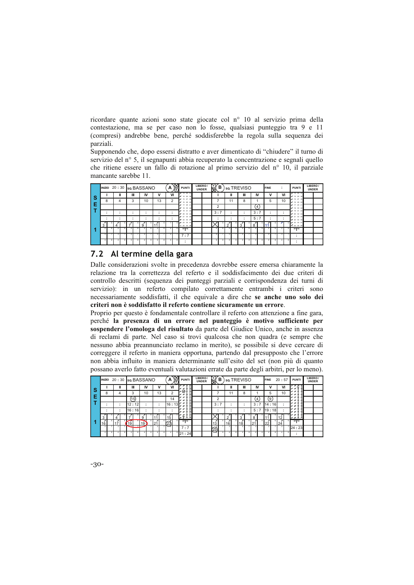ricordare quante azioni sono state giocate col nº 10 al servizio prima della contestazione, ma se per caso non lo fosse, qualsiasi punteggio tra 9 e 11 (compresi) andrebbe bene, perché soddisferebbe la regola sulla sequenza dei parziali.

Supponendo che, dopo essersi distratto e aver dimenticato di "chiudere" il turno di servizio del nº 5, il segnapunti abbia recuperato la concentrazione e segnali quello che ritiene essere un fallo di rotazione al primo servizio del nº 10, il parziale mancante sarebbe 11.

|   | INIZIO 20:30 so BASSANO |                          |                          |                          |    | A  | $\gg$ | <b>PUNTI</b>               | LIBERO/<br><b>UNDER</b> | $\mathbb{R}$            | в |             | so.TREVISO |                  | <b>FINE</b> | ٠<br>$\overline{\phantom{a}}$ | <b>PUNTI</b>                      | LIBERO/<br><b>UNDER</b> |  |
|---|-------------------------|--------------------------|--------------------------|--------------------------|----|----|-------|----------------------------|-------------------------|-------------------------|---|-------------|------------|------------------|-------------|-------------------------------|-----------------------------------|-------------------------|--|
| ၭ |                         | Ш                        | Ш                        | IV                       | v  | VI |       | $X$ 13 25 37<br># 14 26 38 |                         |                         |   | Ш           | Ш          | IV               | v           | VI                            | $\times$ 13 25 37<br>2 14 26 38   |                         |  |
|   | 8                       |                          | 3                        | 10                       | 13 |    | 2     | # 15 27 39<br>16, 28, 40   |                         |                         |   | 11          | 8          |                  | 5           | 10                            | 2 15 27 39<br>$16$ 28 40          |                         |  |
| Æ |                         |                          |                          |                          |    |    |       | # 17 29 41<br># 18 30 42   |                         | $\overline{2}$          |   |             |            | $\left(4\right)$ |             |                               | $9'$ 17 29 41<br># 18 30 42       |                         |  |
|   |                         | $\overline{\phantom{a}}$ | $\overline{\phantom{a}}$ | ۰.                       |    |    |       | 7 19 31 43<br># 20 32 44   |                         | 3:7                     |   |             |            | 3:7              |             | $\bullet$<br>۰.               | 19 31 43<br>22, 32, 44            |                         |  |
|   | ٠.                      |                          | $\overline{\phantom{a}}$ | $\overline{\phantom{a}}$ |    | ٠  |       | # 21 33 45<br>20 22 34 46  |                         |                         |   |             |            | 5:7              |             | ٠                             | # 21 33 45<br>18 22 34 46         |                         |  |
|   | 3                       | $\mathcal{X}$            |                          |                          |    |    |       | 5 23 35 47<br>12 24 36 48  |                         |                         |   | ×<br>$\sim$ | x<br>3     | ×<br>8           |             |                               | $5$ $x$ 23 35 47<br>$12$ 24 36 48 |                         |  |
|   |                         | ۰                        |                          |                          |    |    |       | $n + n$                    |                         | 7                       |   |             |            |                  |             |                               | $11 - 11$                         |                         |  |
|   | з                       |                          |                          |                          |    |    |       | 7:7                        |                         | $\overline{\mathbf{a}}$ |   |             |            |                  |             |                               | ٠                                 |                         |  |
|   |                         |                          |                          |                          |    |    |       | ٠                          |                         |                         |   |             |            |                  |             |                               | ٠                                 |                         |  |

## 7.2 Al termine della gara

Dalle considerazioni svolte in precedenza dovrebbe essere emersa chiaramente la relazione tra la correttezza del referto e il soddisfacimento dei due criteri di controllo descritti (sequenza dei punteggi parziali e corrispondenza dei turni di servizio): in un referto compilato correttamente entrambi i criteri sono necessariamente soddisfatti, il che equivale a dire che se anche uno solo dei criteri non è soddisfatto il referto contiene sicuramente un errore.

Proprio per questo è fondamentale controllare il referto con attenzione a fine gara, perché la presenza di un errore nel punteggio è motivo sufficiente per sospendere l'omologa del risultato da parte del Giudice Unico, anche in assenza di reclami di parte. Nel caso si trovi qualcosa che non quadra (e sempre che nessuno abbia preannunciato reclamo in merito), se possibile si deve cercare di correggere il referto in maniera opportuna, partendo dal presupposto che l'errore non abbia influito in maniera determinante sull'esito del set (non più di quanto possano averlo fatto eventuali valutazioni errate da parte degli arbitri, per lo meno).

|   |    |   |       | INIZIO 20:30 sq. BASSANO |    | $\gg$<br>A         | <b>PUNTI</b>             | LIBERO/<br><b>UNDER</b> | $\mathbb{R}$<br>в |    | so.TREVISO |     | <b>FINE</b> | 20:57  | <b>PUNTI</b>                            | LIBERO/<br><b>UNDER</b> |
|---|----|---|-------|--------------------------|----|--------------------|--------------------------|-------------------------|-------------------|----|------------|-----|-------------|--------|-----------------------------------------|-------------------------|
| S |    |   | Ш     | IV                       | v  | VI                 | æ                        |                         |                   | ш  | Ш          | IV  | v           | VI     | $x \times x$<br>$x \times \overline{x}$ |                         |
|   | 8  |   | 3     | 10                       | 13 | 2                  | źð<br>×                  |                         |                   | 11 | 8          |     | 5           | 10     | x x x<br>x x x                          |                         |
| Е |    |   | (15)  |                          |    | 14                 | ×<br><b>x</b> 1          |                         | $\overline{2}$    |    |            | 4   | (9)         |        | $x \times x$<br>$x \times x$            |                         |
|   |    |   | 12:12 |                          |    | 16:13 <sup>2</sup> | ×<br>×                   |                         | 3:7               |    |            | 3:7 | 14:16       | $\sim$ | z<br>×<br>$x \times x$                  |                         |
|   |    |   | 16:16 |                          |    |                    | ×<br>$\mathbf{z}$<br>l×. |                         |                   |    |            | 5:7 | 119:18      |        | $x \times s$<br>$x \times s$            |                         |
|   | 3  |   |       |                          |    | 15                 | Ť<br>, x                 |                         |                   |    |            |     |             |        | $5x \times 35$<br>µe prak               |                         |
| л | 16 |   | 19    | 19 <sub>0</sub>          | 21 | 23                 | rrn                      |                         | z<br>13           | 16 | 18         | 21  | $\sim$      | 24     | $n - n$                                 |                         |
|   |    |   | J     | $\sim$ 1.                |    |                    | 7:7                      |                         | ක්                |    |            |     |             |        | 24:23                                   |                         |
|   |    | 8 |       |                          |    |                    | 821:24                   |                         | Ñ<br>8            | R. |            |     |             |        | ٠                                       |                         |

 $-30-$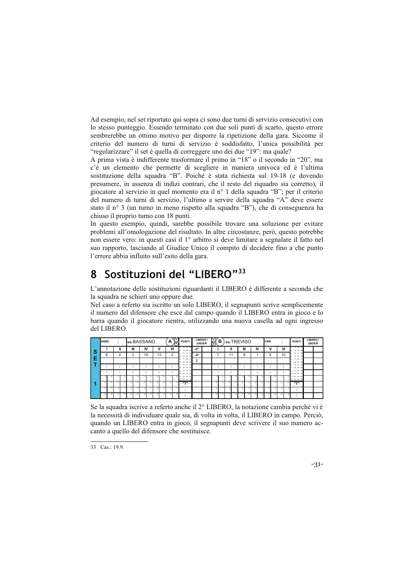Ad esempio, nel set riportato qui sopra ci sono due turni di servizio consecutivi con lo stesso punteggio. Essendo terminato con due soli punti di scarto, questo errore sembrerebbe un ottimo motivo per disporre la ripetizione della gara. Siccome il criterio del numero di turni di servizio è soddisfatto, l'unica possibilità per "regolarizzare" il set è quella di correggere uno dei due "19": ma quale?

A prima vista è indifferente trasformare il primo in "18" o il secondo in "20", ma c'è un elemento che permette di scegliere in maniera univoca ed è l'ultima sostituzione della squadra "B". Poiché è stata richiesta sul 19-18 (e dovendo presumere, in assenza di indizi contrari, che il resto del riquadro sia corretto), il giocatore al servizio in quel momento era il nº 1 della squadra "B"; per il criterio del numero di turni di servizio, l'ultimo a servire della squadra "A" deve essere stato il nº 3 (un turno in meno rispetto alla squadra "B"), che di conseguenza ha chiuso il proprio turno con 18 punti.

In questo esempio, quindi, sarebbe possibile trovare una soluzione per evitare problemi all'omologazione del risultato. In altre circostanze, però, questo potrebbe non essere vero: in questi casi il 1<sup>°</sup> arbitro si deve limitare a segnalare il fatto nel suo rapporto, lasciando al Giudice Unico il compito di decidere fino a che punto l'errore abbia influito sull'esito della gara.

### Sostituzioni del "LIBERO"33 8

L'annotazione delle sostituzioni riguardanti il LIBERO è differente a seconda che la squadra ne schieri uno oppure due.

Nel caso a referto sia iscritto un solo LIBERO, il segnapunti scrive semplicemente il numero del difensore che esce dal campo quando il LIBERO entra in gioco e lo barra quando il giocatore rientra, utilizzando una nuova casella ad ogni ingresso del LIBERO.

|   | <b>INIZIO</b> |   | $\cdot$<br>$\sim$ | so.BASSANO |         |    |    | А              | $\mathbb{S}$ | <b>PUNTI</b>                  | LIBERO/          | <b>UNDER</b> | $\mathbb{R}$             | в |     | so.TREVISO |    | <b>FINE</b> | ٠<br>$\cdot$         |    | <b>PUNTI</b>               | LIBERO/<br><b>UNDER</b> |  |
|---|---------------|---|-------------------|------------|---------|----|----|----------------|--------------|-------------------------------|------------------|--------------|--------------------------|---|-----|------------|----|-------------|----------------------|----|----------------------------|-------------------------|--|
| S |               |   | $\mathbf{I}$      | Ш          | IV      |    | v  | VI             |              | 13 25 37<br>14 26 38<br>2     | $\boldsymbol{z}$ |              |                          |   | Ш   | Ш          | IV | ν           |                      | VI | 13 25 37<br>2 14 26 38     |                         |  |
|   |               | 8 | 4                 | 3          |         | 10 | 13 | $\overline{2}$ |              | 15 27 39<br>16 28 40<br>۰.    | $\mathcal{X}$    |              |                          |   | 11  | 8          |    | 5           |                      | 10 | 15 27 39<br>16 28 40<br>4  |                         |  |
| Е |               |   |                   |            |         |    |    |                |              | 17 29 41<br>18 30 42          | 2                |              |                          |   |     |            |    |             |                      |    | 17 29 41<br>18 30 42       |                         |  |
|   |               |   |                   |            |         | ۰. | ٠. | ٠              |              | 19 31 43<br>20 32 44          |                  |              |                          |   |     |            | ٠  |             | $\bullet$<br>$\cdot$ |    | 19 31 43<br>20 32 44<br>۸  |                         |  |
|   |               | ٠ | $\bullet$         |            | $\cdot$ |    | ٠. | ٠              |              | 21 33 45<br>10 22 34 46       |                  |              |                          |   | . . | ٠<br>٠     | ٠  | ٠           | $\bullet$<br>$\cdot$ |    | 21 33 45<br>10 22 34 46    |                         |  |
|   |               |   |                   |            |         |    |    |                |              | 23 35 47<br>11<br>12 24 36 48 |                  |              |                          |   |     |            |    |             |                      |    | 11 23 35 47<br>12 24 36 48 |                         |  |
|   |               |   |                   |            |         |    |    |                |              | 11.711                        |                  |              | $\overline{\phantom{a}}$ | я |     |            |    |             |                      |    | rrn                        |                         |  |
|   |               |   |                   |            |         |    |    |                |              | $\cdot$                       |                  |              | з                        |   | я   |            |    |             | þ,                   |    | ٠                          |                         |  |
|   |               |   |                   |            |         |    |    |                | ×            | $\cdot$                       |                  |              |                          |   |     |            |    |             |                      |    |                            |                         |  |

Se la squadra iscrive a referto anche il 2<sup>°</sup> LIBERO, la notazione cambia perché vi è la necessità di individuare quale sia, di volta in volta, il LIBERO in campo. Perciò, quando un LIBERO entra in gioco, il segnapunti deve scrivere il suo numero accanto a quello del difensore che sostituisce.

33 Cas.: 19.9.

 $-31-$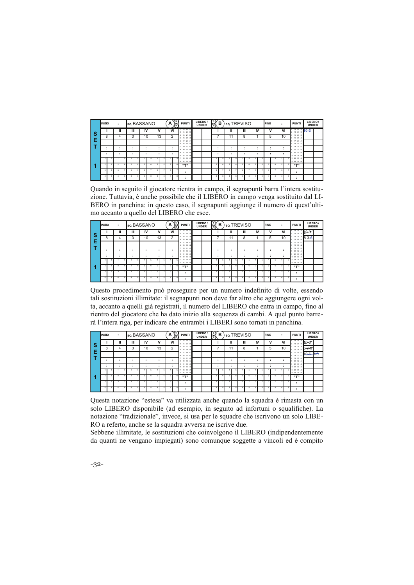|          | <b>INIZIO</b> |   |   |   |   | so.BASSANO |   |         |    | A | $\bigotimes^{\mathsf{S}}$ | <b>PUNTI</b>                         | LIBERO/<br><b>UNDER</b> | $\mathbb{R}$   | в |     |    | so.TREVISO |   |    | <b>FINE</b> | ٠<br>$\overline{\phantom{a}}$ |    | <b>PUNTI</b>                                                      | LIBERO/<br><b>UNDER</b> |  |
|----------|---------------|---|---|---|---|------------|---|---------|----|---|---------------------------|--------------------------------------|-------------------------|----------------|---|-----|----|------------|---|----|-------------|-------------------------------|----|-------------------------------------------------------------------|-------------------------|--|
| <b>S</b> |               |   | Ш |   | Ш | IV         |   |         | ٧  |   | VI                        | 13 25 37<br>2 14 26 38               |                         |                |   |     |    | Ш          |   | IV | ν           | VI                            |    | $\frac{1}{2}$ $\frac{1}{3}$ $\frac{1}{28}$ $\frac{37}{38}$ 10-3 1 |                         |  |
|          |               | 8 | 4 | 3 |   | 10         |   |         | 13 |   | 2                         | 15 27 39<br>s<br>4 16 28<br>40       |                         |                |   |     | 11 | 8          |   |    | 5           | 10                            |    | 15 27 39<br>16 28 40<br>4                                         |                         |  |
| Е        |               |   |   |   |   |            |   |         |    |   |                           | 17, 29, 4<br>Я.<br>6 18 30<br>42     |                         |                |   |     |    |            |   |    |             |                               |    | 17 29 41<br>6 18 30 42                                            |                         |  |
|          |               |   |   | ٠ |   | ٠          |   | $\cdot$ |    |   | ٠                         | 19 31<br>-49<br>$20 - 32$<br>Ŕ<br>A. |                         |                |   |     |    | ۰          |   |    |             | $\cdot$                       | ۰. | 19 31 43<br>20 32 44                                              |                         |  |
|          |               |   |   |   |   | $\cdot$    |   | $\cdot$ |    |   |                           | 21 33 45<br>10 22 34<br>48           |                         |                |   | - 1 |    |            |   | ٠  |             | $\cdot$                       | ۰. | 21 33 45<br>10 22 34 46                                           |                         |  |
|          |               |   |   |   |   |            |   |         |    |   |                           | 23 35 47<br>11<br>12 24 36 48        |                         |                |   |     |    |            |   |    |             |                               |    | 5 11 23 35 47<br>12 24 36 48                                      |                         |  |
|          |               |   |   |   |   |            |   |         |    |   |                           | 11.711                               |                         | $\overline{2}$ |   |     |    |            | А |    |             |                               |    | 11.711                                                            |                         |  |
|          |               |   | з |   |   |            |   |         |    |   |                           | ٠                                    |                         | з              |   |     |    |            |   |    |             | ٨                             |    | ٠                                                                 |                         |  |
|          |               |   |   |   |   |            | R |         |    |   |                           | ٠                                    |                         |                |   |     |    |            | × |    |             |                               |    |                                                                   |                         |  |

Quando in seguito il giocatore rientra in campo, il segnapunti barra l'intera sostituzione. Tuttavia, è anche possibile che il LIBERO in campo venga sostituito dal LI-BERO in panchina: in questo caso, il segnapunti aggiunge il numero di quest'ultimo accanto a quello del LIBERO che esce.

|     | <b>INIZIO</b> |        |                          |                |   |    | so.BASSANO |   |    | A | 's<br>扃        | <b>PUNTI</b>                  | LIBERO/ | <b>UNDER</b> | $\mathbb{R}$ | В  | so.TREVISO |   |   |    | <b>FINE</b> | ٠<br>$\cdot$   | <b>PUNTI</b>                                 | LIBERO/<br><b>UNDER</b> |  |
|-----|---------------|--------|--------------------------|----------------|---|----|------------|---|----|---|----------------|-------------------------------|---------|--------------|--------------|----|------------|---|---|----|-------------|----------------|----------------------------------------------|-------------------------|--|
| . S |               |        | I                        |                | Ш | IV |            |   | v  |   | VI             | 13 25 37<br>2 14 26 38        |         |              |              |    | Ш          |   | Ш | IV | ν           | VI             | $\frac{13.28 \times 10.37}{8}$<br>2 14 26 38 |                         |  |
|     |               | 8      | 4                        | 3              |   |    | 10         |   | 13 |   | $\overline{2}$ | 15 27 39<br>16 28 40<br>٠     |         |              |              |    | 11         |   | 8 |    | 5           | 10             | 15 27 39<br>4 16 28 40                       | $8 - 3 - 6$             |  |
| ιE  |               |        |                          |                |   |    |            |   |    |   |                | 17 29 41<br>к<br>6 18 30 42   |         |              |              |    |            |   |   |    |             |                | 17 29 41<br>5<br>6 18 30<br>$\overline{a}$   |                         |  |
|     |               |        | $\overline{\phantom{a}}$ | $\blacksquare$ |   |    |            |   |    |   | ٠              | 19 31 43<br>20 32 44<br>×     |         |              |              |    | $\cdot$    |   |   | ٠  | ٠           | $\bullet$      | 19 31 43<br>20 32 44<br>×                    |                         |  |
|     |               | ٠<br>٠ | ٠                        | $\blacksquare$ |   |    | $\cdot$    | ٠ |    | ٠ |                | 21 33 45<br>10 22 34 46       |         |              |              |    | $\cdot$    |   | ٠ | ٠  | ٠<br>٠      | $\blacksquare$ | 21 33 45<br>10 22 34 46                      |                         |  |
|     |               |        |                          |                |   |    |            |   |    |   |                | 23 35 47<br>11<br>12 24 36 48 |         |              |              | л  |            |   |   |    |             |                | 11 23 35 47<br>12 24 36 48                   |                         |  |
|     |               |        |                          |                |   |    |            |   |    |   |                | $n + n$                       |         |              |              | £, |            |   |   |    |             |                | $11 - 11$                                    |                         |  |
|     | з             |        |                          |                |   |    |            |   |    |   |                | ٠                             |         |              |              |    |            |   |   |    |             |                | ٠<br>$\cdot$                                 |                         |  |
|     |               |        |                          |                | × |    |            |   |    |   |                | ٠<br>٠                        |         |              |              | R  |            | ٠ |   |    |             |                | ٠<br>$\cdot$                                 |                         |  |

Questo procedimento può proseguire per un numero indefinito di volte, essendo tali sostituzioni illimitate: il segnapunti non deve far altro che aggiungere ogni volta, accanto a quelli già registrati, il numero del LIBERO che entra in campo, fino al rientro del giocatore che ha dato inizio alla sequenza di cambi. A quel punto barrerà l'intera riga, per indicare che entrambi i LIBERI sono tornati in panchina.

|   | <b>INIZIO</b> |   | $\mathbf{r}$ |   | so.BASSANO               |                           |    |   |    | А  | E | <b>PUNTI</b>                              | LIBERO/<br><b>UNDER</b> | 【s)<br>ਨ       | в |    | so.TREVISO |   |    | <b>FINE</b> |   | ٠<br>$\cdot$             |    | <b>PUNTI</b>                               | LIBERO/<br><b>UNDER</b> |  |
|---|---------------|---|--------------|---|--------------------------|---------------------------|----|---|----|----|---|-------------------------------------------|-------------------------|----------------|---|----|------------|---|----|-------------|---|--------------------------|----|--------------------------------------------|-------------------------|--|
| S |               |   |              | Ш | Ш                        | IV                        |    |   | ٧  | VI |   | 13 25 37<br>14 26 38                      |                         |                |   | Ш  | Ш          |   | IV |             | v |                          | VI | $\frac{13.8 \times 10.3}{2}$<br>2 14 26 38 |                         |  |
|   |               | 8 |              | 4 | 3                        |                           | 10 |   | 13 |    | 2 | 15 27<br>-39<br>16 28<br>A                |                         |                |   | 11 | 8          |   |    | 5           |   | 10                       |    | 27<br>15<br>30<br>16 28 40                 | 8-2-f                   |  |
| Е |               |   |              |   |                          |                           |    |   |    |    |   | 17 29 41<br>п.<br>18 30 42<br>Ř.          |                         |                |   |    |            |   |    |             |   |                          |    | 29 41<br>17<br>×<br>18 30<br>ĸ             | $10 - 6 - 3 - 6$        |  |
|   |               |   |              |   | ٠<br>٠                   | $\blacksquare$<br>$\cdot$ |    | ٠ |    | ٠  |   | 19 31<br>49<br>20 32<br>44                |                         |                |   |    |            |   | ٠  | ٠           |   | ٠<br>٠                   |    | $12 -$<br>31<br>48<br>20 32 44<br>8        |                         |  |
|   |               |   |              |   | $\overline{\phantom{a}}$ | $\blacksquare$<br>٠       |    |   |    | ۰  |   | 21 33 45<br>22 34<br>10<br>$\overline{a}$ |                         |                |   |    | ۰          |   | ٠  | ٠           |   | $\overline{\phantom{a}}$ |    | 21 33 45<br>10 22 34 46                    |                         |  |
|   |               |   |              |   |                          |                           |    |   |    |    |   | 23 35 47<br>12 24 36 48                   |                         |                |   |    |            |   |    |             |   |                          |    | 23 35 47<br>12 24 36 48                    |                         |  |
|   |               |   |              |   |                          |                           |    |   |    |    |   | 11.711                                    |                         | $\overline{2}$ |   |    |            | А |    |             |   |                          |    | $11 - 11$                                  |                         |  |
|   | з             |   |              |   |                          | 5                         |    |   |    |    |   | ٠                                         |                         | 3              |   |    |            | ٠ |    |             |   |                          |    | $\cdot$                                    |                         |  |
|   |               |   |              |   |                          |                           |    |   |    |    | × |                                           |                         |                |   |    |            |   |    |             |   |                          |    | $\bullet$                                  |                         |  |

Questa notazione "estesa" va utilizzata anche quando la squadra è rimasta con un solo LIBERO disponibile (ad esempio, in seguito ad infortuni o squalifiche). La notazione "tradizionale", invece, si usa per le squadre che iscrivono un solo LIBE-RO a referto, anche se la squadra avversa ne iscrive due.

Sebbene illimitate, le sostituzioni che coinvolgono il LIBERO (indipendentemente da quanti ne vengano impiegati) sono comunque soggette a vincoli ed è compito

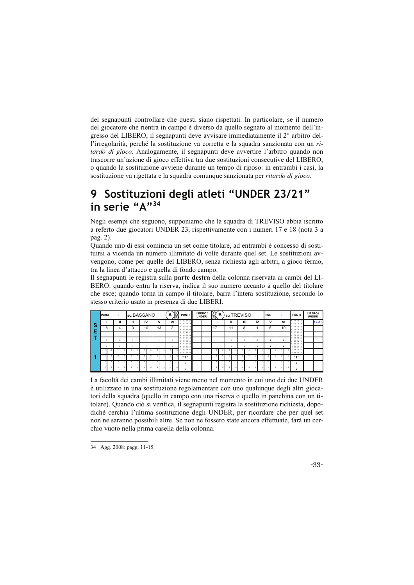del segnapunti controllare che questi siano rispettati. In particolare, se il numero del giocatore che rientra in campo è diverso da quello segnato al momento dell'ingresso del LIBERO, il segnapunti deve avvisare immediatamente il 2<sup>°</sup> arbitro dell'irregolarità, perché la sostituzione va corretta e la squadra sanzionata con un ri*tardo di gioco.* Analogamente, il segnapunti deve avvertire l'arbitro quando non trascorre un'azione di gioco effettiva tra due sostituzioni consecutive del LIBERO, o quando la sostituzione avviene durante un tempo di riposo: in entrambi i casi, la sostituzione va rigettata e la squadra comunque sanzionata per ritardo di gioco.

# 9 Sostituzioni degli atleti "UNDER 23/21" in serie "A"34

Negli esempi che seguono, supponiamo che la squadra di TREVISO abbia iscritto a referto due giocatori UNDER 23, rispettivamente con i numeri 17 e 18 (nota 3 a pag. 2).

Quando uno di essi comincia un set come titolare, ad entrambi è concesso di sostituirsi a vicenda un numero illimitato di volte durante quel set. Le sostituzioni avvengono, come per quelle del LIBERO, senza richiesta agli arbitri, a gioco fermo, tra la linea d'attacco e quella di fondo campo.

Il segnapunti le registra sulla parte destra della colonna riservata ai cambi del LI-BERO: quando entra la riserva, indica il suo numero accanto a quello del titolare che esce; quando torna in campo il titolare, barra l'intera sostituzione, secondo lo stesso criterio usato in presenza di due LIBERI.

|               | <b>INIZIO</b> | $\overline{\phantom{a}}$ |         | so.BASSANO |         |    |    | А      | (s`<br>扃 | <b>PUNTI</b>                  | LIBERO/<br><b>UNDER</b> | $\mathbb{R}$   | в |    |   | so.TREVISO |    | <b>FINE</b> |   |                      | <b>PUNT</b>                          | LIBERO/<br><b>UNDER</b> |           |
|---------------|---------------|--------------------------|---------|------------|---------|----|----|--------|----------|-------------------------------|-------------------------|----------------|---|----|---|------------|----|-------------|---|----------------------|--------------------------------------|-------------------------|-----------|
|               |               | Ш                        |         | Ш          | IV      |    | ٧  |        | VI       | 13 25 37<br>2 14 26 38        |                         |                |   | ш  |   | Ш          | IV |             | v | VI                   | 13 25 37<br>14 26 38<br>$\mathbf{z}$ |                         | $17 - 18$ |
| $\frac{1}{2}$ | 8             |                          | 3       |            |         | 10 | 13 |        | 2        | 15 27 39<br>4 16 28 40        |                         | 17             |   | 11 |   | 8          |    | 5           |   | 10                   | 15 27 39<br>16 28 40                 |                         |           |
|               |               |                          |         |            |         |    |    |        |          | 5 17 29 41<br>6 18 30 42      |                         |                |   |    |   |            |    |             |   |                      | 17 29 41<br>5<br>6 18 30 42          |                         |           |
|               |               |                          |         |            |         |    |    | ٠<br>٠ |          | 19 31 43<br>$20 \, 32 \, 44$  |                         |                |   |    |   | ۰          | ٠  | ٠           |   | $\bullet$<br>$\cdot$ | 19 31 43<br>20 32 44                 |                         |           |
|               |               | ٠                        | $\cdot$ |            | $\cdot$ |    |    | ٠      |          | 21 33 45<br>10 22 34<br>48    |                         |                |   |    | ۰ | ٠          | ٠  | ٠<br>٠      |   | $\bullet$<br>$\cdot$ | 33 45<br>21<br>10 22 34 46           |                         |           |
|               |               |                          |         |            |         |    |    |        |          | 23 35 47<br>11<br>12 24 36 48 |                         |                |   |    |   |            |    |             |   |                      | 11 23 35 47<br>12 24 36 48           |                         |           |
|               |               |                          |         |            |         |    |    |        |          | rrn                           |                         | $\overline{2}$ |   |    |   |            |    |             |   |                      | 11.711                               |                         |           |
|               |               |                          |         |            |         |    |    |        |          | ٠                             |                         | þ,             |   |    |   |            |    |             |   |                      | $\cdot$<br>۰.                        |                         |           |
|               |               |                          |         |            |         |    |    |        |          | ٠                             |                         |                |   |    |   |            |    |             |   |                      | $\cdot$                              |                         |           |

La facoltà dei cambi illimitati viene meno nel momento in cui uno dei due UNDER è utilizzato in una sostituzione regolamentare con uno qualunque degli altri giocatori della squadra (quello in campo con una riserva o quello in panchina con un titolare). Quando ciò si verifica, il segnapunti registra la sostituzione richiesta, dopodiché cerchia l'ultima sostituzione degli UNDER, per ricordare che per quel set non ne saranno possibili altre. Se non ne fossero state ancora effettuate, farà un cerchio vuoto nella prima casella della colonna.

34 Agg. 2008: pagg. 11-15.

 $-33-$